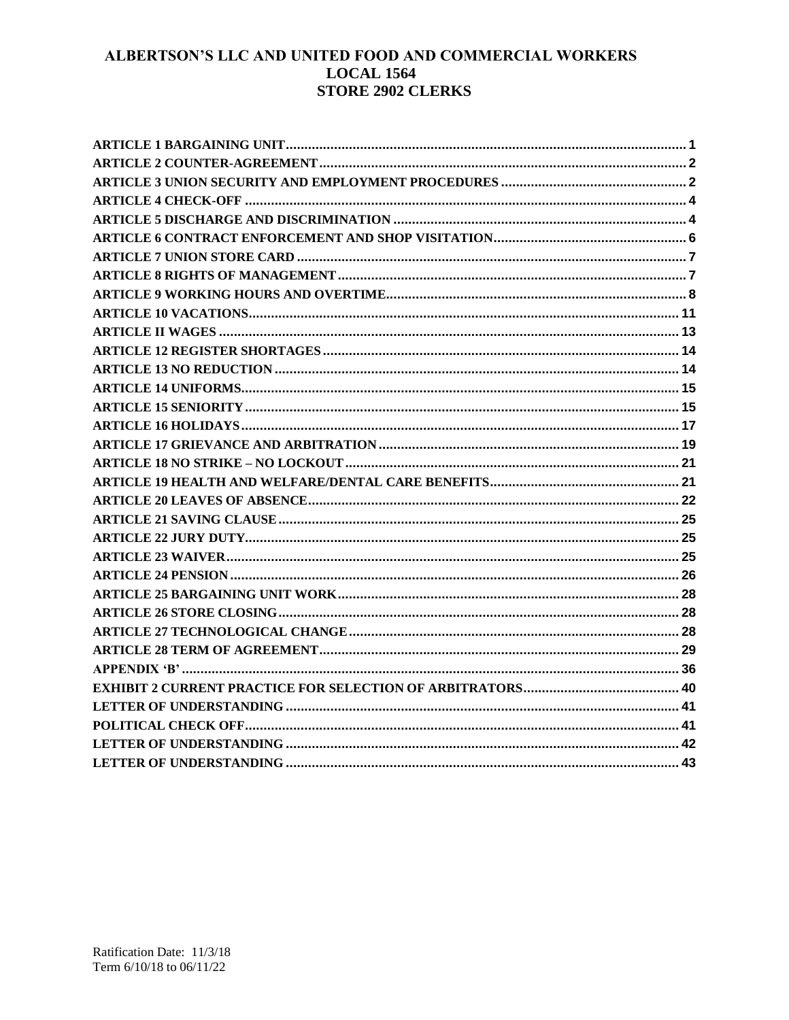## ALBERTSON'S LLC AND UNITED FOOD AND COMMERCIAL WORKERS **LOCAL 1564 STORE 2902 CLERKS**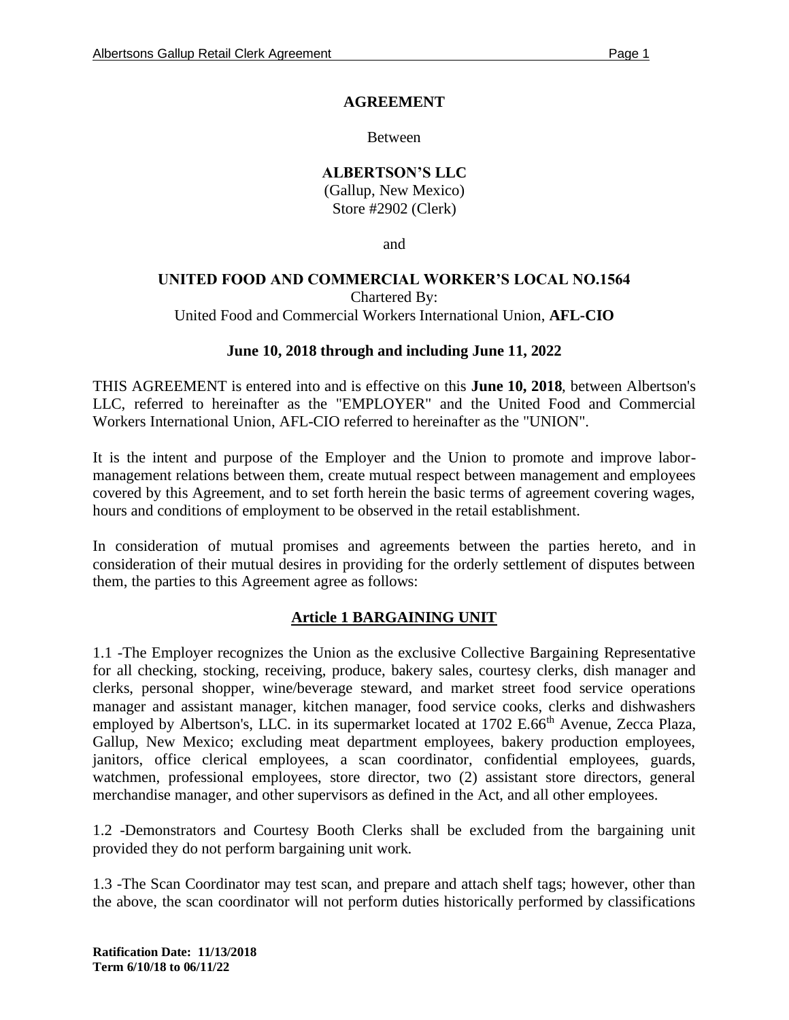## **AGREEMENT**

Between

## **ALBERTSON'S LLC**

(Gallup, New Mexico) Store #2902 (Clerk)

and

## **UNITED FOOD AND COMMERCIAL WORKER'S LOCAL NO.1564** Chartered By: United Food and Commercial Workers International Union, **AFL-CIO**

## **June 10, 2018 through and including June 11, 2022**

THIS AGREEMENT is entered into and is effective on this **June 10, 2018**, between Albertson's LLC, referred to hereinafter as the "EMPLOYER" and the United Food and Commercial Workers International Union, AFL-CIO referred to hereinafter as the "UNION".

It is the intent and purpose of the Employer and the Union to promote and improve labormanagement relations between them, create mutual respect between management and employees covered by this Agreement, and to set forth herein the basic terms of agreement covering wages, hours and conditions of employment to be observed in the retail establishment.

In consideration of mutual promises and agreements between the parties hereto, and in consideration of their mutual desires in providing for the orderly settlement of disputes between them, the parties to this Agreement agree as follows:

## **Article 1 BARGAINING UNIT**

<span id="page-1-0"></span>1.1 -The Employer recognizes the Union as the exclusive Collective Bargaining Representative for all checking, stocking, receiving, produce, bakery sales, courtesy clerks, dish manager and clerks, personal shopper, wine/beverage steward, and market street food service operations manager and assistant manager, kitchen manager, food service cooks, clerks and dishwashers employed by Albertson's, LLC. in its supermarket located at 1702 E.66<sup>th</sup> Avenue, Zecca Plaza, Gallup, New Mexico; excluding meat department employees, bakery production employees, janitors, office clerical employees, a scan coordinator, confidential employees, guards, watchmen, professional employees, store director, two (2) assistant store directors, general merchandise manager, and other supervisors as defined in the Act, and all other employees.

1.2 -Demonstrators and Courtesy Booth Clerks shall be excluded from the bargaining unit provided they do not perform bargaining unit work.

1.3 -The Scan Coordinator may test scan, and prepare and attach shelf tags; however, other than the above, the scan coordinator will not perform duties historically performed by classifications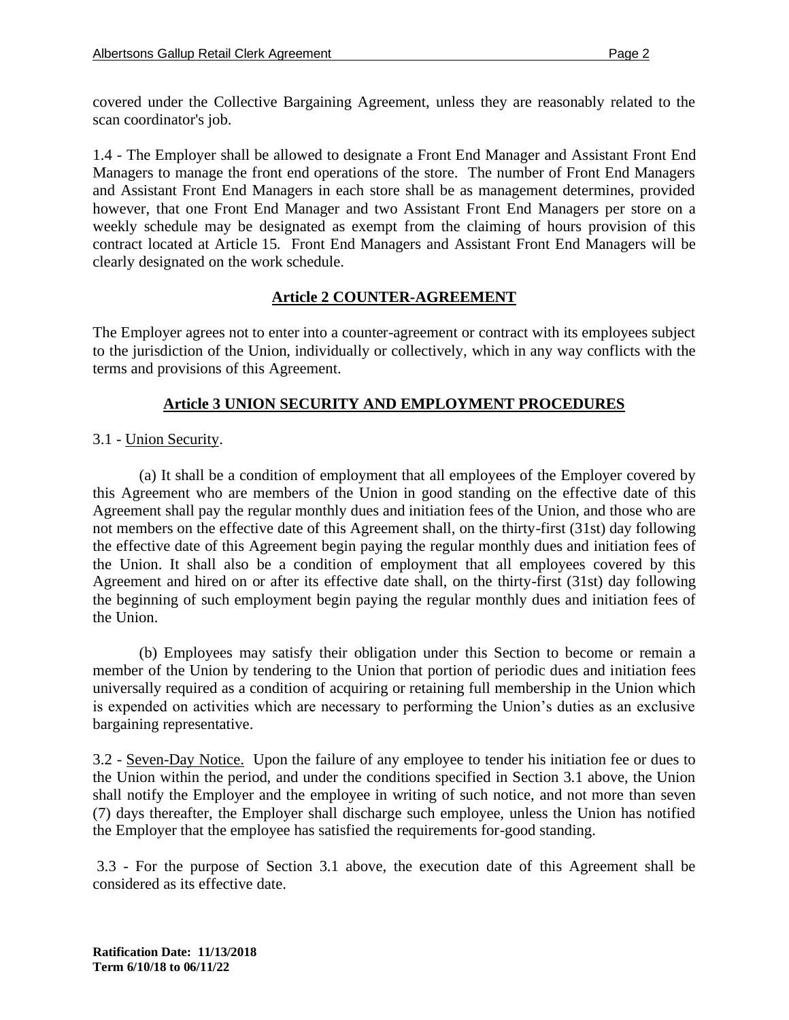covered under the Collective Bargaining Agreement, unless they are reasonably related to the scan coordinator's job.

1.4 - The Employer shall be allowed to designate a Front End Manager and Assistant Front End Managers to manage the front end operations of the store. The number of Front End Managers and Assistant Front End Managers in each store shall be as management determines, provided however, that one Front End Manager and two Assistant Front End Managers per store on a weekly schedule may be designated as exempt from the claiming of hours provision of this contract located at Article 15. Front End Managers and Assistant Front End Managers will be clearly designated on the work schedule.

## **Article 2 COUNTER-AGREEMENT**

<span id="page-2-0"></span>The Employer agrees not to enter into a counter-agreement or contract with its employees subject to the jurisdiction of the Union, individually or collectively, which in any way conflicts with the terms and provisions of this Agreement.

## **Article 3 UNION SECURITY AND EMPLOYMENT PROCEDURES**

## <span id="page-2-1"></span>3.1 - Union Security.

(a) It shall be a condition of employment that all employees of the Employer covered by this Agreement who are members of the Union in good standing on the effective date of this Agreement shall pay the regular monthly dues and initiation fees of the Union, and those who are not members on the effective date of this Agreement shall, on the thirty-first (31st) day following the effective date of this Agreement begin paying the regular monthly dues and initiation fees of the Union. It shall also be a condition of employment that all employees covered by this Agreement and hired on or after its effective date shall, on the thirty-first (31st) day following the beginning of such employment begin paying the regular monthly dues and initiation fees of the Union.

(b) Employees may satisfy their obligation under this Section to become or remain a member of the Union by tendering to the Union that portion of periodic dues and initiation fees universally required as a condition of acquiring or retaining full membership in the Union which is expended on activities which are necessary to performing the Union's duties as an exclusive bargaining representative.

3.2 - Seven-Day Notice. Upon the failure of any employee to tender his initiation fee or dues to the Union within the period, and under the conditions specified in Section 3.1 above, the Union shall notify the Employer and the employee in writing of such notice, and not more than seven (7) days thereafter, the Employer shall discharge such employee, unless the Union has notified the Employer that the employee has satisfied the requirements for-good standing.

3.3 - For the purpose of Section 3.1 above, the execution date of this Agreement shall be considered as its effective date.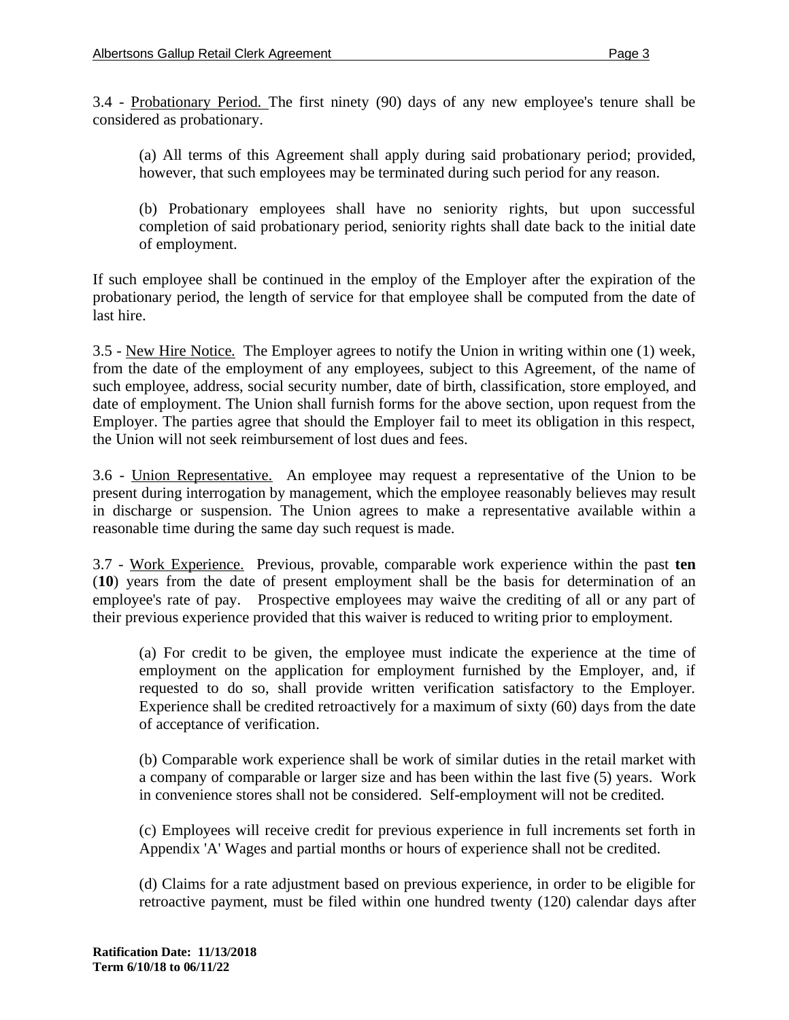3.4 - Probationary Period. The first ninety (90) days of any new employee's tenure shall be considered as probationary.

(a) All terms of this Agreement shall apply during said probationary period; provided, however, that such employees may be terminated during such period for any reason.

(b) Probationary employees shall have no seniority rights, but upon successful completion of said probationary period, seniority rights shall date back to the initial date of employment.

If such employee shall be continued in the employ of the Employer after the expiration of the probationary period, the length of service for that employee shall be computed from the date of last hire.

3.5 - New Hire Notice. The Employer agrees to notify the Union in writing within one (1) week, from the date of the employment of any employees, subject to this Agreement, of the name of such employee, address, social security number, date of birth, classification, store employed, and date of employment. The Union shall furnish forms for the above section, upon request from the Employer. The parties agree that should the Employer fail to meet its obligation in this respect, the Union will not seek reimbursement of lost dues and fees.

3.6 - Union Representative. An employee may request a representative of the Union to be present during interrogation by management, which the employee reasonably believes may result in discharge or suspension. The Union agrees to make a representative available within a reasonable time during the same day such request is made.

3.7 - Work Experience. Previous, provable, comparable work experience within the past **ten** (**10**) years from the date of present employment shall be the basis for determination of an employee's rate of pay. Prospective employees may waive the crediting of all or any part of their previous experience provided that this waiver is reduced to writing prior to employment.

(a) For credit to be given, the employee must indicate the experience at the time of employment on the application for employment furnished by the Employer, and, if requested to do so, shall provide written verification satisfactory to the Employer. Experience shall be credited retroactively for a maximum of sixty (60) days from the date of acceptance of verification.

(b) Comparable work experience shall be work of similar duties in the retail market with a company of comparable or larger size and has been within the last five (5) years. Work in convenience stores shall not be considered. Self-employment will not be credited.

(c) Employees will receive credit for previous experience in full increments set forth in Appendix 'A' Wages and partial months or hours of experience shall not be credited.

(d) Claims for a rate adjustment based on previous experience, in order to be eligible for retroactive payment, must be filed within one hundred twenty (120) calendar days after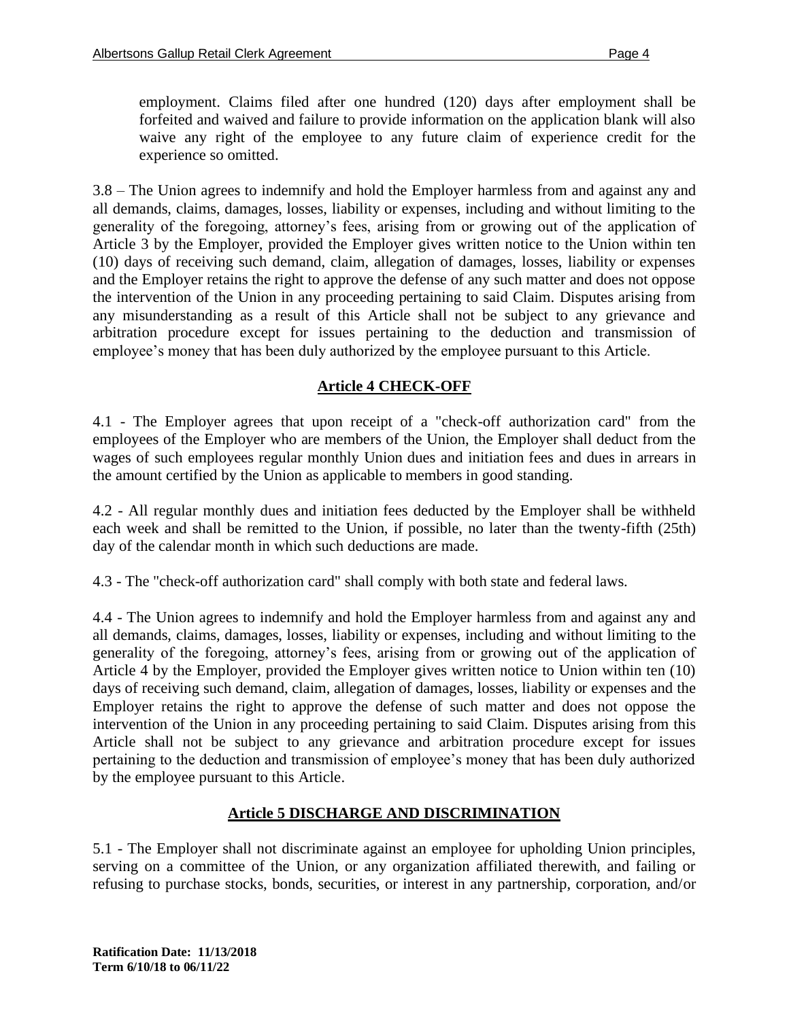employment. Claims filed after one hundred (120) days after employment shall be forfeited and waived and failure to provide information on the application blank will also waive any right of the employee to any future claim of experience credit for the experience so omitted.

3.8 – The Union agrees to indemnify and hold the Employer harmless from and against any and all demands, claims, damages, losses, liability or expenses, including and without limiting to the generality of the foregoing, attorney's fees, arising from or growing out of the application of Article 3 by the Employer, provided the Employer gives written notice to the Union within ten (10) days of receiving such demand, claim, allegation of damages, losses, liability or expenses and the Employer retains the right to approve the defense of any such matter and does not oppose the intervention of the Union in any proceeding pertaining to said Claim. Disputes arising from any misunderstanding as a result of this Article shall not be subject to any grievance and arbitration procedure except for issues pertaining to the deduction and transmission of employee's money that has been duly authorized by the employee pursuant to this Article.

# **Article 4 CHECK-OFF**

<span id="page-4-0"></span>4.1 - The Employer agrees that upon receipt of a "check-off authorization card" from the employees of the Employer who are members of the Union, the Employer shall deduct from the wages of such employees regular monthly Union dues and initiation fees and dues in arrears in the amount certified by the Union as applicable to members in good standing.

4.2 - All regular monthly dues and initiation fees deducted by the Employer shall be withheld each week and shall be remitted to the Union, if possible, no later than the twenty-fifth (25th) day of the calendar month in which such deductions are made.

4.3 - The "check-off authorization card" shall comply with both state and federal laws.

4.4 - The Union agrees to indemnify and hold the Employer harmless from and against any and all demands, claims, damages, losses, liability or expenses, including and without limiting to the generality of the foregoing, attorney's fees, arising from or growing out of the application of Article 4 by the Employer, provided the Employer gives written notice to Union within ten (10) days of receiving such demand, claim, allegation of damages, losses, liability or expenses and the Employer retains the right to approve the defense of such matter and does not oppose the intervention of the Union in any proceeding pertaining to said Claim. Disputes arising from this Article shall not be subject to any grievance and arbitration procedure except for issues pertaining to the deduction and transmission of employee's money that has been duly authorized by the employee pursuant to this Article.

## **Article 5 DISCHARGE AND DISCRIMINATION**

<span id="page-4-1"></span>5.1 - The Employer shall not discriminate against an employee for upholding Union principles, serving on a committee of the Union, or any organization affiliated therewith, and failing or refusing to purchase stocks, bonds, securities, or interest in any partnership, corporation, and/or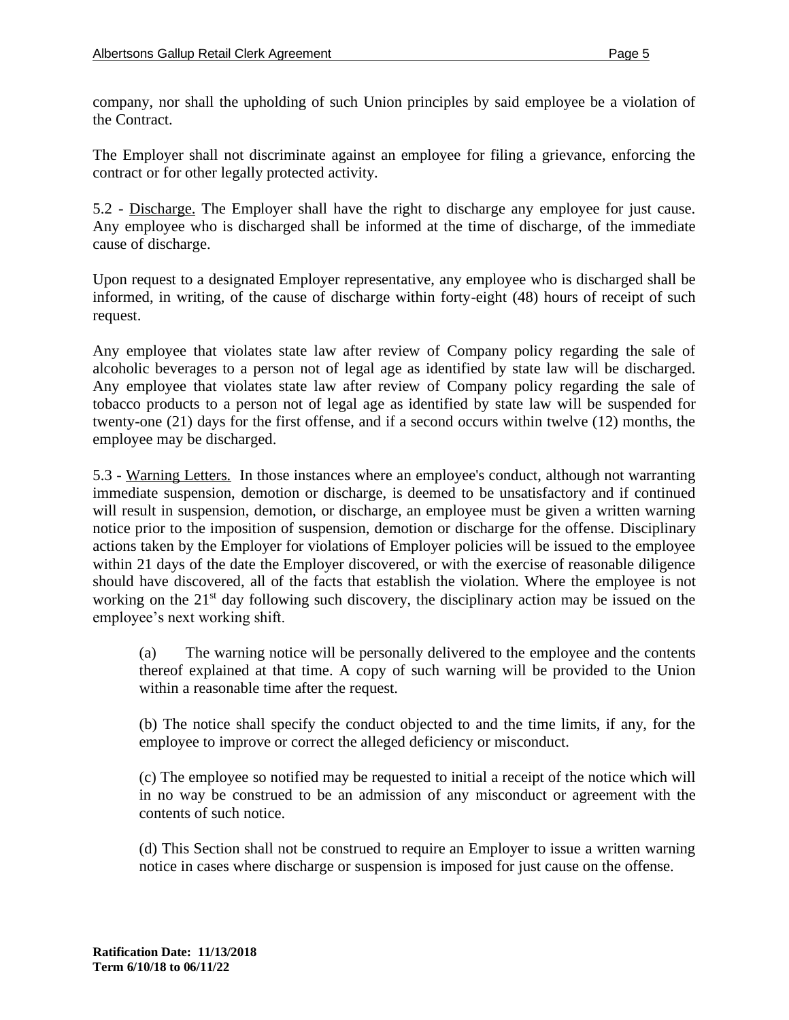company, nor shall the upholding of such Union principles by said employee be a violation of the Contract.

The Employer shall not discriminate against an employee for filing a grievance, enforcing the contract or for other legally protected activity.

5.2 - Discharge. The Employer shall have the right to discharge any employee for just cause. Any employee who is discharged shall be informed at the time of discharge, of the immediate cause of discharge.

Upon request to a designated Employer representative, any employee who is discharged shall be informed, in writing, of the cause of discharge within forty-eight (48) hours of receipt of such request.

Any employee that violates state law after review of Company policy regarding the sale of alcoholic beverages to a person not of legal age as identified by state law will be discharged. Any employee that violates state law after review of Company policy regarding the sale of tobacco products to a person not of legal age as identified by state law will be suspended for twenty-one (21) days for the first offense, and if a second occurs within twelve (12) months, the employee may be discharged.

5.3 - Warning Letters. In those instances where an employee's conduct, although not warranting immediate suspension, demotion or discharge, is deemed to be unsatisfactory and if continued will result in suspension, demotion, or discharge, an employee must be given a written warning notice prior to the imposition of suspension, demotion or discharge for the offense. Disciplinary actions taken by the Employer for violations of Employer policies will be issued to the employee within 21 days of the date the Employer discovered, or with the exercise of reasonable diligence should have discovered, all of the facts that establish the violation. Where the employee is not working on the 21<sup>st</sup> day following such discovery, the disciplinary action may be issued on the employee's next working shift.

(a) The warning notice will be personally delivered to the employee and the contents thereof explained at that time. A copy of such warning will be provided to the Union within a reasonable time after the request.

(b) The notice shall specify the conduct objected to and the time limits, if any, for the employee to improve or correct the alleged deficiency or misconduct.

(c) The employee so notified may be requested to initial a receipt of the notice which will in no way be construed to be an admission of any misconduct or agreement with the contents of such notice.

(d) This Section shall not be construed to require an Employer to issue a written warning notice in cases where discharge or suspension is imposed for just cause on the offense.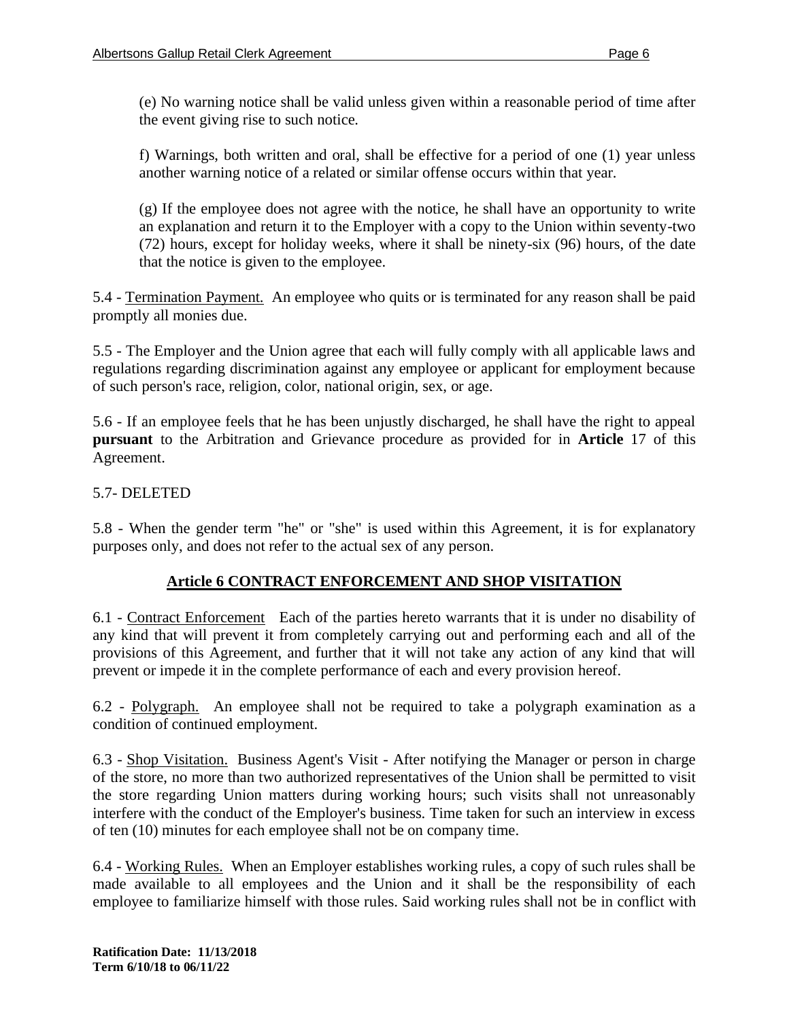(e) No warning notice shall be valid unless given within a reasonable period of time after the event giving rise to such notice.

f) Warnings, both written and oral, shall be effective for a period of one (1) year unless another warning notice of a related or similar offense occurs within that year.

(g) If the employee does not agree with the notice, he shall have an opportunity to write an explanation and return it to the Employer with a copy to the Union within seventy-two (72) hours, except for holiday weeks, where it shall be ninety-six (96) hours, of the date that the notice is given to the employee.

5.4 - Termination Payment. An employee who quits or is terminated for any reason shall be paid promptly all monies due.

5.5 - The Employer and the Union agree that each will fully comply with all applicable laws and regulations regarding discrimination against any employee or applicant for employment because of such person's race, religion, color, national origin, sex, or age.

5.6 - If an employee feels that he has been unjustly discharged, he shall have the right to appeal **pursuant** to the Arbitration and Grievance procedure as provided for in **Article** 17 of this Agreement.

5.7- DELETED

5.8 - When the gender term "he" or "she" is used within this Agreement, it is for explanatory purposes only, and does not refer to the actual sex of any person.

## **Article 6 CONTRACT ENFORCEMENT AND SHOP VISITATION**

<span id="page-6-0"></span>6.1 - Contract Enforcement Each of the parties hereto warrants that it is under no disability of any kind that will prevent it from completely carrying out and performing each and all of the provisions of this Agreement, and further that it will not take any action of any kind that will prevent or impede it in the complete performance of each and every provision hereof.

6.2 - Polygraph. An employee shall not be required to take a polygraph examination as a condition of continued employment.

6.3 - Shop Visitation. Business Agent's Visit - After notifying the Manager or person in charge of the store, no more than two authorized representatives of the Union shall be permitted to visit the store regarding Union matters during working hours; such visits shall not unreasonably interfere with the conduct of the Employer's business. Time taken for such an interview in excess of ten (10) minutes for each employee shall not be on company time.

6.4 - Working Rules. When an Employer establishes working rules, a copy of such rules shall be made available to all employees and the Union and it shall be the responsibility of each employee to familiarize himself with those rules. Said working rules shall not be in conflict with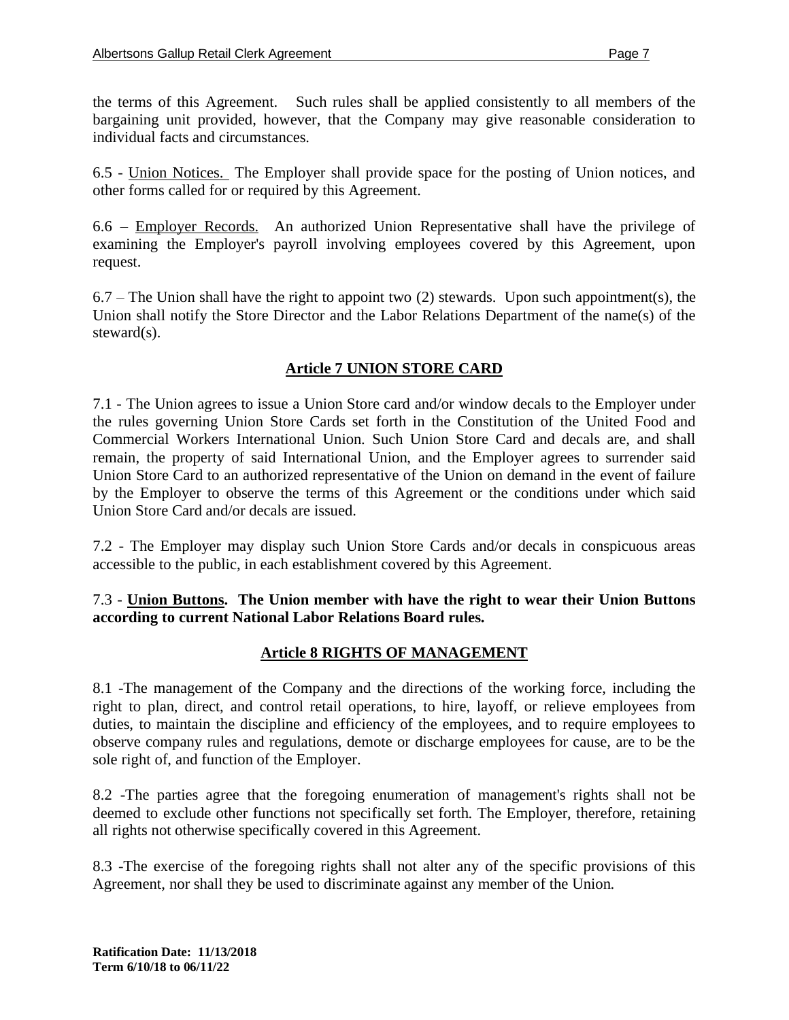the terms of this Agreement. Such rules shall be applied consistently to all members of the bargaining unit provided, however, that the Company may give reasonable consideration to individual facts and circumstances.

6.5 - Union Notices. The Employer shall provide space for the posting of Union notices, and other forms called for or required by this Agreement.

6.6 – Employer Records. An authorized Union Representative shall have the privilege of examining the Employer's payroll involving employees covered by this Agreement, upon request.

 $6.7$  – The Union shall have the right to appoint two (2) stewards. Upon such appointment(s), the Union shall notify the Store Director and the Labor Relations Department of the name(s) of the steward(s).

## **Article 7 UNION STORE CARD**

<span id="page-7-0"></span>7.1 - The Union agrees to issue a Union Store card and/or window decals to the Employer under the rules governing Union Store Cards set forth in the Constitution of the United Food and Commercial Workers International Union. Such Union Store Card and decals are, and shall remain, the property of said International Union, and the Employer agrees to surrender said Union Store Card to an authorized representative of the Union on demand in the event of failure by the Employer to observe the terms of this Agreement or the conditions under which said Union Store Card and/or decals are issued.

7.2 - The Employer may display such Union Store Cards and/or decals in conspicuous areas accessible to the public, in each establishment covered by this Agreement.

#### 7.3 - **Union Buttons. The Union member with have the right to wear their Union Buttons according to current National Labor Relations Board rules.**

## **Article 8 RIGHTS OF MANAGEMENT**

<span id="page-7-1"></span>8.1 -The management of the Company and the directions of the working force, including the right to plan, direct, and control retail operations, to hire, layoff, or relieve employees from duties, to maintain the discipline and efficiency of the employees, and to require employees to observe company rules and regulations, demote or discharge employees for cause, are to be the sole right of, and function of the Employer.

8.2 -The parties agree that the foregoing enumeration of management's rights shall not be deemed to exclude other functions not specifically set forth. The Employer, therefore, retaining all rights not otherwise specifically covered in this Agreement.

8.3 -The exercise of the foregoing rights shall not alter any of the specific provisions of this Agreement, nor shall they be used to discriminate against any member of the Union.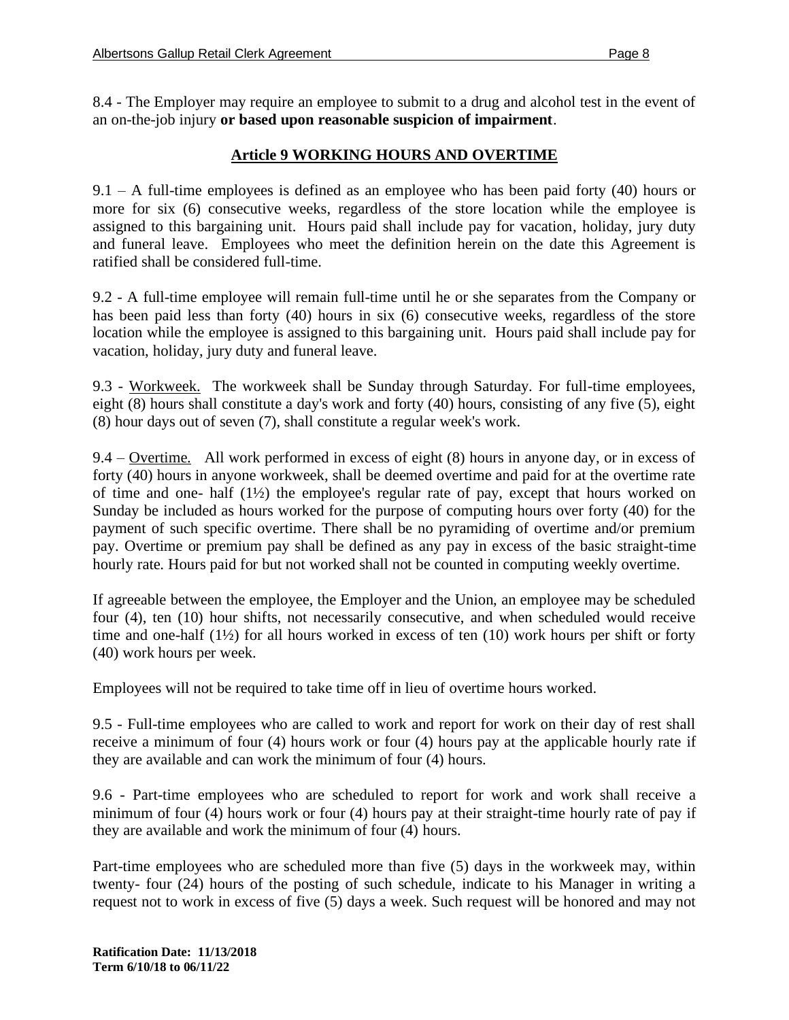8.4 - The Employer may require an employee to submit to a drug and alcohol test in the event of an on-the-job injury **or based upon reasonable suspicion of impairment**.

#### **Article 9 WORKING HOURS AND OVERTIME**

<span id="page-8-0"></span>9.1 – A full-time employees is defined as an employee who has been paid forty (40) hours or more for six (6) consecutive weeks, regardless of the store location while the employee is assigned to this bargaining unit. Hours paid shall include pay for vacation, holiday, jury duty and funeral leave. Employees who meet the definition herein on the date this Agreement is ratified shall be considered full-time.

9.2 - A full-time employee will remain full-time until he or she separates from the Company or has been paid less than forty (40) hours in six (6) consecutive weeks, regardless of the store location while the employee is assigned to this bargaining unit. Hours paid shall include pay for vacation, holiday, jury duty and funeral leave.

9.3 - Workweek. The workweek shall be Sunday through Saturday. For full-time employees, eight (8) hours shall constitute a day's work and forty (40) hours, consisting of any five (5), eight (8) hour days out of seven (7), shall constitute a regular week's work.

9.4 – Overtime. All work performed in excess of eight  $(8)$  hours in anyone day, or in excess of forty (40) hours in anyone workweek, shall be deemed overtime and paid for at the overtime rate of time and one- half (1½) the employee's regular rate of pay, except that hours worked on Sunday be included as hours worked for the purpose of computing hours over forty (40) for the payment of such specific overtime. There shall be no pyramiding of overtime and/or premium pay. Overtime or premium pay shall be defined as any pay in excess of the basic straight-time hourly rate. Hours paid for but not worked shall not be counted in computing weekly overtime.

If agreeable between the employee, the Employer and the Union, an employee may be scheduled four (4), ten (10) hour shifts, not necessarily consecutive, and when scheduled would receive time and one-half  $(1\frac{1}{2})$  for all hours worked in excess of ten  $(10)$  work hours per shift or forty (40) work hours per week.

Employees will not be required to take time off in lieu of overtime hours worked.

9.5 - Full-time employees who are called to work and report for work on their day of rest shall receive a minimum of four (4) hours work or four (4) hours pay at the applicable hourly rate if they are available and can work the minimum of four (4) hours.

9.6 - Part-time employees who are scheduled to report for work and work shall receive a minimum of four (4) hours work or four (4) hours pay at their straight-time hourly rate of pay if they are available and work the minimum of four (4) hours.

Part-time employees who are scheduled more than five (5) days in the workweek may, within twenty- four (24) hours of the posting of such schedule, indicate to his Manager in writing a request not to work in excess of five (5) days a week. Such request will be honored and may not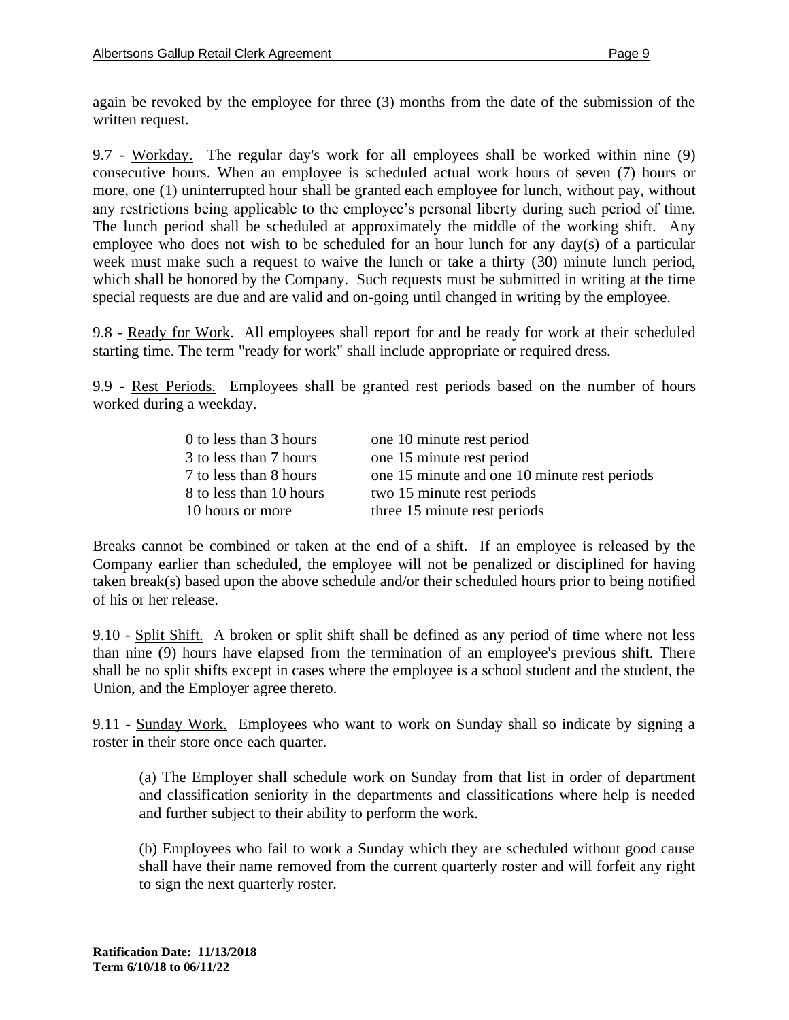again be revoked by the employee for three (3) months from the date of the submission of the written request.

9.7 - Workday. The regular day's work for all employees shall be worked within nine (9) consecutive hours. When an employee is scheduled actual work hours of seven (7) hours or more, one (1) uninterrupted hour shall be granted each employee for lunch, without pay, without any restrictions being applicable to the employee's personal liberty during such period of time. The lunch period shall be scheduled at approximately the middle of the working shift. Any employee who does not wish to be scheduled for an hour lunch for any day(s) of a particular week must make such a request to waive the lunch or take a thirty (30) minute lunch period, which shall be honored by the Company. Such requests must be submitted in writing at the time special requests are due and are valid and on-going until changed in writing by the employee.

9.8 - Ready for Work. All employees shall report for and be ready for work at their scheduled starting time. The term "ready for work" shall include appropriate or required dress.

9.9 - Rest Periods. Employees shall be granted rest periods based on the number of hours worked during a weekday.

| 0 to less than 3 hours  | one 10 minute rest period                    |
|-------------------------|----------------------------------------------|
| 3 to less than 7 hours  | one 15 minute rest period                    |
| 7 to less than 8 hours  | one 15 minute and one 10 minute rest periods |
| 8 to less than 10 hours | two 15 minute rest periods                   |
| 10 hours or more        | three 15 minute rest periods                 |

Breaks cannot be combined or taken at the end of a shift. If an employee is released by the Company earlier than scheduled, the employee will not be penalized or disciplined for having taken break(s) based upon the above schedule and/or their scheduled hours prior to being notified of his or her release.

9.10 - Split Shift. A broken or split shift shall be defined as any period of time where not less than nine (9) hours have elapsed from the termination of an employee's previous shift. There shall be no split shifts except in cases where the employee is a school student and the student, the Union, and the Employer agree thereto.

9.11 - Sunday Work. Employees who want to work on Sunday shall so indicate by signing a roster in their store once each quarter.

(a) The Employer shall schedule work on Sunday from that list in order of department and classification seniority in the departments and classifications where help is needed and further subject to their ability to perform the work.

(b) Employees who fail to work a Sunday which they are scheduled without good cause shall have their name removed from the current quarterly roster and will forfeit any right to sign the next quarterly roster.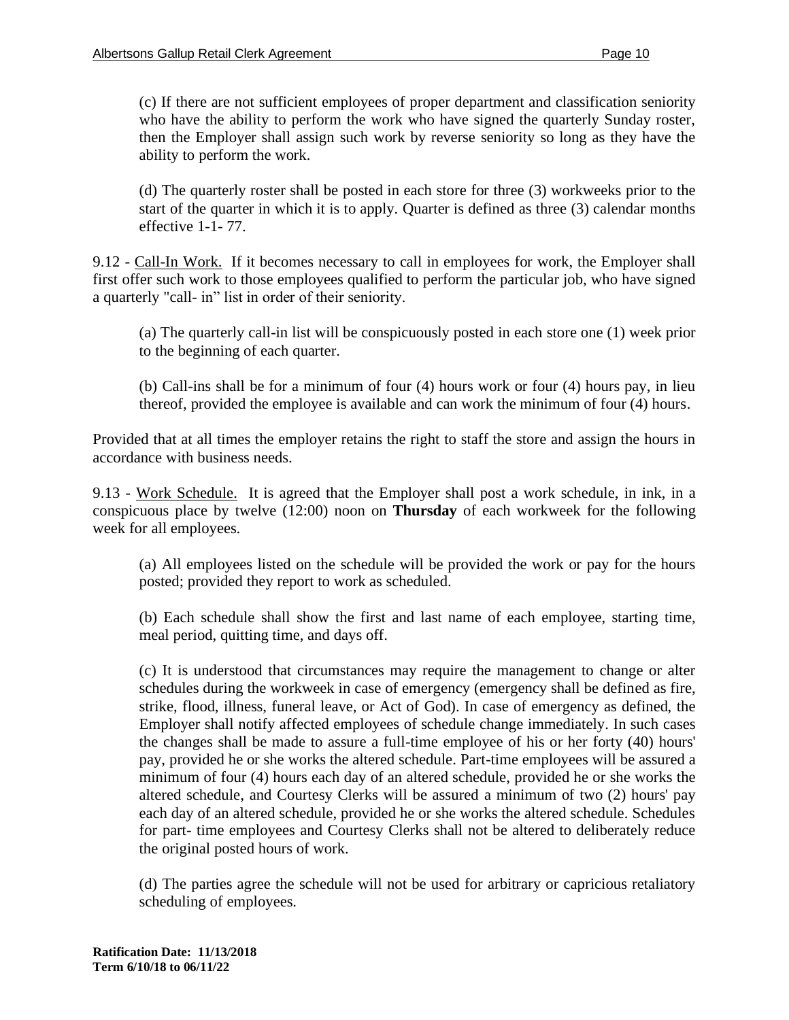(c) If there are not sufficient employees of proper department and classification seniority who have the ability to perform the work who have signed the quarterly Sunday roster, then the Employer shall assign such work by reverse seniority so long as they have the ability to perform the work.

(d) The quarterly roster shall be posted in each store for three (3) workweeks prior to the start of the quarter in which it is to apply. Quarter is defined as three (3) calendar months effective 1-1- 77.

9.12 - Call-In Work. If it becomes necessary to call in employees for work, the Employer shall first offer such work to those employees qualified to perform the particular job, who have signed a quarterly "call- in" list in order of their seniority.

(a) The quarterly call-in list will be conspicuously posted in each store one (1) week prior to the beginning of each quarter.

(b) Call-ins shall be for a minimum of four (4) hours work or four (4) hours pay, in lieu thereof, provided the employee is available and can work the minimum of four (4) hours.

Provided that at all times the employer retains the right to staff the store and assign the hours in accordance with business needs.

9.13 - Work Schedule. It is agreed that the Employer shall post a work schedule, in ink, in a conspicuous place by twelve (12:00) noon on **Thursday** of each workweek for the following week for all employees.

(a) All employees listed on the schedule will be provided the work or pay for the hours posted; provided they report to work as scheduled.

(b) Each schedule shall show the first and last name of each employee, starting time, meal period, quitting time, and days off.

(c) It is understood that circumstances may require the management to change or alter schedules during the workweek in case of emergency (emergency shall be defined as fire, strike, flood, illness, funeral leave, or Act of God). In case of emergency as defined, the Employer shall notify affected employees of schedule change immediately. In such cases the changes shall be made to assure a full-time employee of his or her forty (40) hours' pay, provided he or she works the altered schedule. Part-time employees will be assured a minimum of four (4) hours each day of an altered schedule, provided he or she works the altered schedule, and Courtesy Clerks will be assured a minimum of two (2) hours' pay each day of an altered schedule, provided he or she works the altered schedule. Schedules for part- time employees and Courtesy Clerks shall not be altered to deliberately reduce the original posted hours of work.

(d) The parties agree the schedule will not be used for arbitrary or capricious retaliatory scheduling of employees.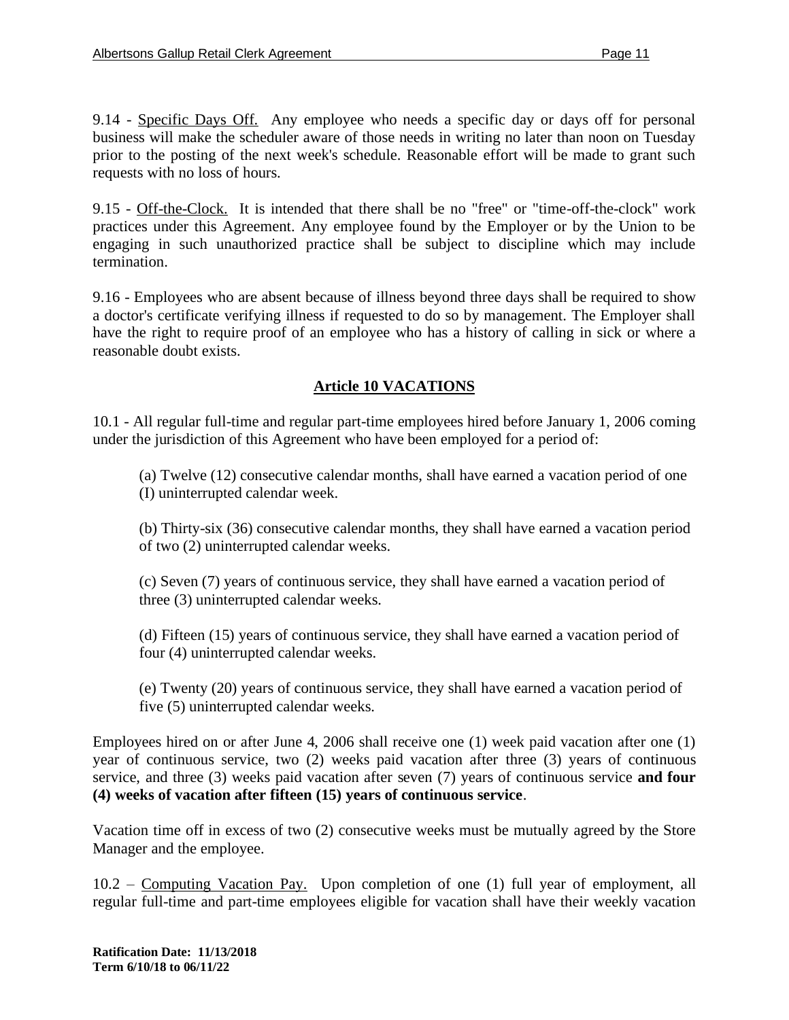9.14 - Specific Days Off. Any employee who needs a specific day or days off for personal business will make the scheduler aware of those needs in writing no later than noon on Tuesday prior to the posting of the next week's schedule. Reasonable effort will be made to grant such requests with no loss of hours.

9.15 - Off-the-Clock. It is intended that there shall be no "free" or "time-off-the-clock" work practices under this Agreement. Any employee found by the Employer or by the Union to be engaging in such unauthorized practice shall be subject to discipline which may include termination.

9.16 - Employees who are absent because of illness beyond three days shall be required to show a doctor's certificate verifying illness if requested to do so by management. The Employer shall have the right to require proof of an employee who has a history of calling in sick or where a reasonable doubt exists.

## **Article 10 VACATIONS**

<span id="page-11-0"></span>10.1 - All regular full-time and regular part-time employees hired before January 1, 2006 coming under the jurisdiction of this Agreement who have been employed for a period of:

(a) Twelve (12) consecutive calendar months, shall have earned a vacation period of one (I) uninterrupted calendar week.

(b) Thirty-six (36) consecutive calendar months, they shall have earned a vacation period of two (2) uninterrupted calendar weeks.

(c) Seven (7) years of continuous service, they shall have earned a vacation period of three (3) uninterrupted calendar weeks.

(d) Fifteen (15) years of continuous service, they shall have earned a vacation period of four (4) uninterrupted calendar weeks.

(e) Twenty (20) years of continuous service, they shall have earned a vacation period of five (5) uninterrupted calendar weeks.

Employees hired on or after June 4, 2006 shall receive one (1) week paid vacation after one (1) year of continuous service, two (2) weeks paid vacation after three (3) years of continuous service, and three (3) weeks paid vacation after seven (7) years of continuous service **and four (4) weeks of vacation after fifteen (15) years of continuous service**.

Vacation time off in excess of two (2) consecutive weeks must be mutually agreed by the Store Manager and the employee.

10.2 – Computing Vacation Pay. Upon completion of one (1) full year of employment, all regular full-time and part-time employees eligible for vacation shall have their weekly vacation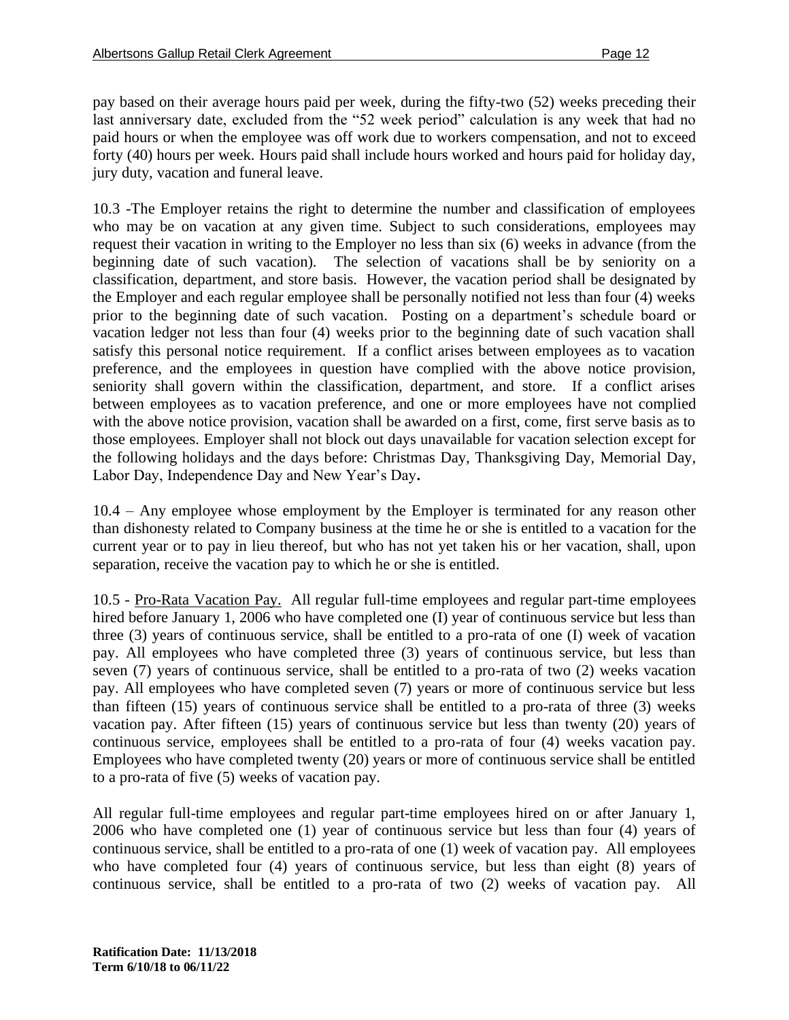pay based on their average hours paid per week, during the fifty-two (52) weeks preceding their last anniversary date, excluded from the "52 week period" calculation is any week that had no paid hours or when the employee was off work due to workers compensation, and not to exceed forty (40) hours per week. Hours paid shall include hours worked and hours paid for holiday day, jury duty, vacation and funeral leave.

10.3 -The Employer retains the right to determine the number and classification of employees who may be on vacation at any given time. Subject to such considerations, employees may request their vacation in writing to the Employer no less than six (6) weeks in advance (from the beginning date of such vacation). The selection of vacations shall be by seniority on a classification, department, and store basis. However, the vacation period shall be designated by the Employer and each regular employee shall be personally notified not less than four (4) weeks prior to the beginning date of such vacation. Posting on a department's schedule board or vacation ledger not less than four (4) weeks prior to the beginning date of such vacation shall satisfy this personal notice requirement. If a conflict arises between employees as to vacation preference, and the employees in question have complied with the above notice provision, seniority shall govern within the classification, department, and store. If a conflict arises between employees as to vacation preference, and one or more employees have not complied with the above notice provision, vacation shall be awarded on a first, come, first serve basis as to those employees. Employer shall not block out days unavailable for vacation selection except for the following holidays and the days before: Christmas Day, Thanksgiving Day, Memorial Day, Labor Day, Independence Day and New Year's Day**.**

10.4 – Any employee whose employment by the Employer is terminated for any reason other than dishonesty related to Company business at the time he or she is entitled to a vacation for the current year or to pay in lieu thereof, but who has not yet taken his or her vacation, shall, upon separation, receive the vacation pay to which he or she is entitled.

10.5 - Pro-Rata Vacation Pay. All regular full-time employees and regular part-time employees hired before January 1, 2006 who have completed one (I) year of continuous service but less than three (3) years of continuous service, shall be entitled to a pro-rata of one (I) week of vacation pay. All employees who have completed three (3) years of continuous service, but less than seven (7) years of continuous service, shall be entitled to a pro-rata of two (2) weeks vacation pay. All employees who have completed seven (7) years or more of continuous service but less than fifteen (15) years of continuous service shall be entitled to a pro-rata of three (3) weeks vacation pay. After fifteen (15) years of continuous service but less than twenty (20) years of continuous service, employees shall be entitled to a pro-rata of four (4) weeks vacation pay. Employees who have completed twenty (20) years or more of continuous service shall be entitled to a pro-rata of five (5) weeks of vacation pay.

All regular full-time employees and regular part-time employees hired on or after January 1, 2006 who have completed one (1) year of continuous service but less than four (4) years of continuous service, shall be entitled to a pro-rata of one (1) week of vacation pay. All employees who have completed four (4) years of continuous service, but less than eight (8) years of continuous service, shall be entitled to a pro-rata of two (2) weeks of vacation pay. All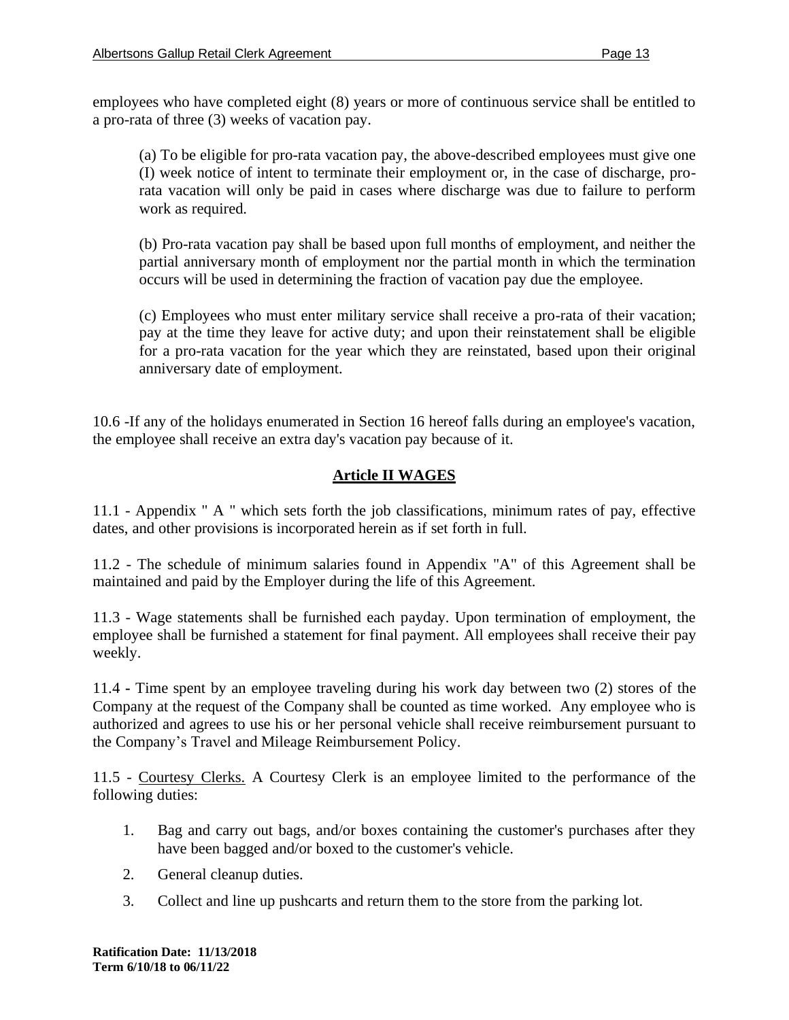employees who have completed eight (8) years or more of continuous service shall be entitled to a pro-rata of three (3) weeks of vacation pay.

(a) To be eligible for pro-rata vacation pay, the above-described employees must give one (I) week notice of intent to terminate their employment or, in the case of discharge, prorata vacation will only be paid in cases where discharge was due to failure to perform work as required.

(b) Pro-rata vacation pay shall be based upon full months of employment, and neither the partial anniversary month of employment nor the partial month in which the termination occurs will be used in determining the fraction of vacation pay due the employee.

(c) Employees who must enter military service shall receive a pro-rata of their vacation; pay at the time they leave for active duty; and upon their reinstatement shall be eligible for a pro-rata vacation for the year which they are reinstated, based upon their original anniversary date of employment.

10.6 -If any of the holidays enumerated in Section 16 hereof falls during an employee's vacation, the employee shall receive an extra day's vacation pay because of it.

# **Article II WAGES**

<span id="page-13-0"></span>11.1 - Appendix " A " which sets forth the job classifications, minimum rates of pay, effective dates, and other provisions is incorporated herein as if set forth in full.

11.2 - The schedule of minimum salaries found in Appendix "A" of this Agreement shall be maintained and paid by the Employer during the life of this Agreement.

11.3 - Wage statements shall be furnished each payday. Upon termination of employment, the employee shall be furnished a statement for final payment. All employees shall receive their pay weekly.

11.4 **-** Time spent by an employee traveling during his work day between two (2) stores of the Company at the request of the Company shall be counted as time worked. Any employee who is authorized and agrees to use his or her personal vehicle shall receive reimbursement pursuant to the Company's Travel and Mileage Reimbursement Policy.

11.5 - Courtesy Clerks. A Courtesy Clerk is an employee limited to the performance of the following duties:

- 1. Bag and carry out bags, and/or boxes containing the customer's purchases after they have been bagged and/or boxed to the customer's vehicle.
- 2. General cleanup duties.
- 3. Collect and line up pushcarts and return them to the store from the parking lot.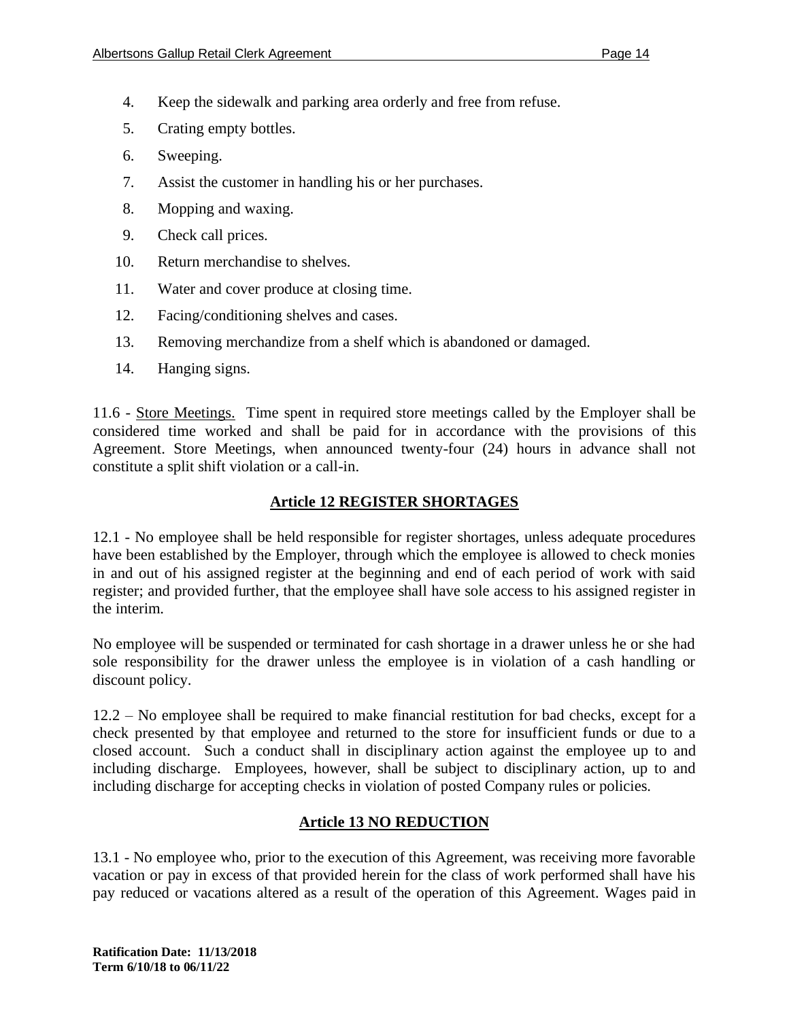- 4. Keep the sidewalk and parking area orderly and free from refuse.
- 5. Crating empty bottles.
- 6. Sweeping.
- 7. Assist the customer in handling his or her purchases.
- 8. Mopping and waxing.
- 9. Check call prices.
- 10. Return merchandise to shelves.
- 11. Water and cover produce at closing time.
- 12. Facing/conditioning shelves and cases.
- 13. Removing merchandize from a shelf which is abandoned or damaged.
- 14. Hanging signs.

11.6 - Store Meetings. Time spent in required store meetings called by the Employer shall be considered time worked and shall be paid for in accordance with the provisions of this Agreement. Store Meetings, when announced twenty-four (24) hours in advance shall not constitute a split shift violation or a call-in.

## **Article 12 REGISTER SHORTAGES**

<span id="page-14-0"></span>12.1 - No employee shall be held responsible for register shortages, unless adequate procedures have been established by the Employer, through which the employee is allowed to check monies in and out of his assigned register at the beginning and end of each period of work with said register; and provided further, that the employee shall have sole access to his assigned register in the interim.

No employee will be suspended or terminated for cash shortage in a drawer unless he or she had sole responsibility for the drawer unless the employee is in violation of a cash handling or discount policy.

12.2 – No employee shall be required to make financial restitution for bad checks, except for a check presented by that employee and returned to the store for insufficient funds or due to a closed account. Such a conduct shall in disciplinary action against the employee up to and including discharge. Employees, however, shall be subject to disciplinary action, up to and including discharge for accepting checks in violation of posted Company rules or policies.

# **Article 13 NO REDUCTION**

<span id="page-14-1"></span>13.1 - No employee who, prior to the execution of this Agreement, was receiving more favorable vacation or pay in excess of that provided herein for the class of work performed shall have his pay reduced or vacations altered as a result of the operation of this Agreement. Wages paid in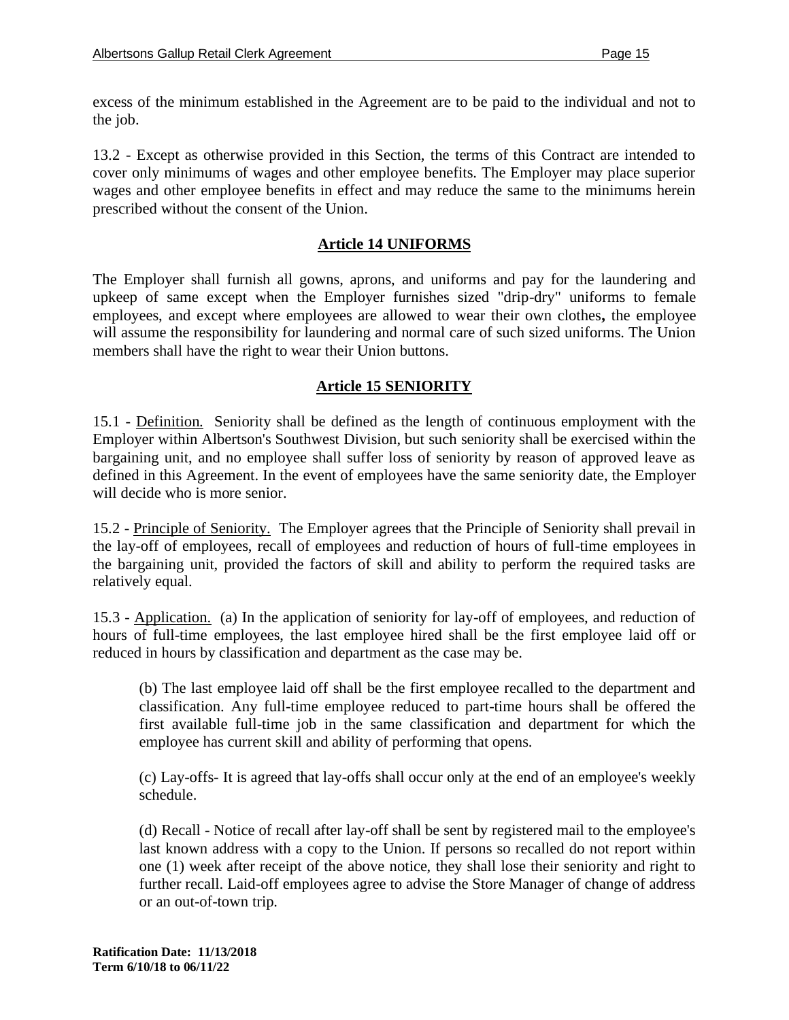excess of the minimum established in the Agreement are to be paid to the individual and not to the job.

13.2 - Except as otherwise provided in this Section, the terms of this Contract are intended to cover only minimums of wages and other employee benefits. The Employer may place superior wages and other employee benefits in effect and may reduce the same to the minimums herein prescribed without the consent of the Union.

## **Article 14 UNIFORMS**

<span id="page-15-0"></span>The Employer shall furnish all gowns, aprons, and uniforms and pay for the laundering and upkeep of same except when the Employer furnishes sized "drip-dry" uniforms to female employees, and except where employees are allowed to wear their own clothes**,** the employee will assume the responsibility for laundering and normal care of such sized uniforms. The Union members shall have the right to wear their Union buttons.

## **Article 15 SENIORITY**

<span id="page-15-1"></span>15.1 - Definition. Seniority shall be defined as the length of continuous employment with the Employer within Albertson's Southwest Division, but such seniority shall be exercised within the bargaining unit, and no employee shall suffer loss of seniority by reason of approved leave as defined in this Agreement. In the event of employees have the same seniority date, the Employer will decide who is more senior.

15.2 - Principle of Seniority. The Employer agrees that the Principle of Seniority shall prevail in the lay-off of employees, recall of employees and reduction of hours of full-time employees in the bargaining unit, provided the factors of skill and ability to perform the required tasks are relatively equal.

15.3 - Application. (a) In the application of seniority for lay-off of employees, and reduction of hours of full-time employees, the last employee hired shall be the first employee laid off or reduced in hours by classification and department as the case may be.

(b) The last employee laid off shall be the first employee recalled to the department and classification. Any full-time employee reduced to part-time hours shall be offered the first available full-time job in the same classification and department for which the employee has current skill and ability of performing that opens.

(c) Lay-offs- It is agreed that lay-offs shall occur only at the end of an employee's weekly schedule.

(d) Recall - Notice of recall after lay-off shall be sent by registered mail to the employee's last known address with a copy to the Union. If persons so recalled do not report within one (1) week after receipt of the above notice, they shall lose their seniority and right to further recall. Laid-off employees agree to advise the Store Manager of change of address or an out-of-town trip.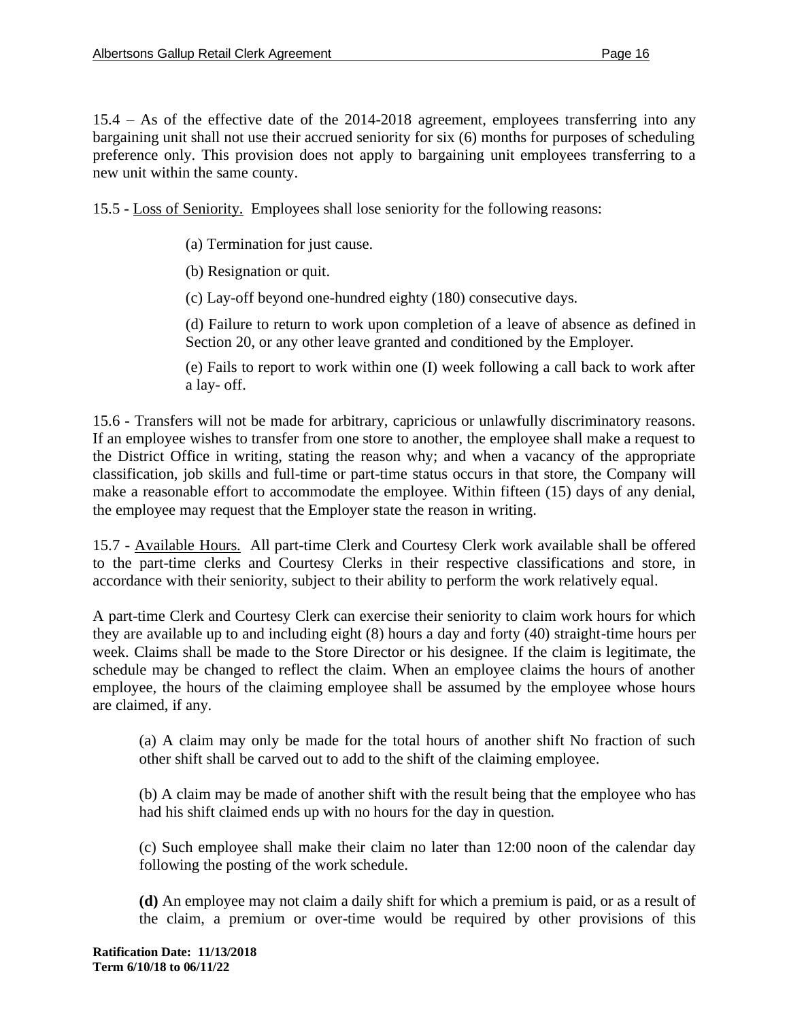15.4 – As of the effective date of the 2014-2018 agreement, employees transferring into any bargaining unit shall not use their accrued seniority for six (6) months for purposes of scheduling preference only. This provision does not apply to bargaining unit employees transferring to a new unit within the same county.

15.5 **-** Loss of Seniority. Employees shall lose seniority for the following reasons:

(a) Termination for just cause.

(b) Resignation or quit.

(c) Lay-off beyond one-hundred eighty (180) consecutive days.

(d) Failure to return to work upon completion of a leave of absence as defined in Section 20, or any other leave granted and conditioned by the Employer.

(e) Fails to report to work within one (I) week following a call back to work after a lay- off.

15.6 **-** Transfers will not be made for arbitrary, capricious or unlawfully discriminatory reasons. If an employee wishes to transfer from one store to another, the employee shall make a request to the District Office in writing, stating the reason why; and when a vacancy of the appropriate classification, job skills and full-time or part-time status occurs in that store, the Company will make a reasonable effort to accommodate the employee. Within fifteen (15) days of any denial, the employee may request that the Employer state the reason in writing.

15.7 - Available Hours. All part-time Clerk and Courtesy Clerk work available shall be offered to the part-time clerks and Courtesy Clerks in their respective classifications and store, in accordance with their seniority, subject to their ability to perform the work relatively equal.

A part-time Clerk and Courtesy Clerk can exercise their seniority to claim work hours for which they are available up to and including eight (8) hours a day and forty (40) straight-time hours per week. Claims shall be made to the Store Director or his designee. If the claim is legitimate, the schedule may be changed to reflect the claim. When an employee claims the hours of another employee, the hours of the claiming employee shall be assumed by the employee whose hours are claimed, if any.

(a) A claim may only be made for the total hours of another shift No fraction of such other shift shall be carved out to add to the shift of the claiming employee.

(b) A claim may be made of another shift with the result being that the employee who has had his shift claimed ends up with no hours for the day in question.

(c) Such employee shall make their claim no later than 12:00 noon of the calendar day following the posting of the work schedule.

**(d)** An employee may not claim a daily shift for which a premium is paid, or as a result of the claim, a premium or over-time would be required by other provisions of this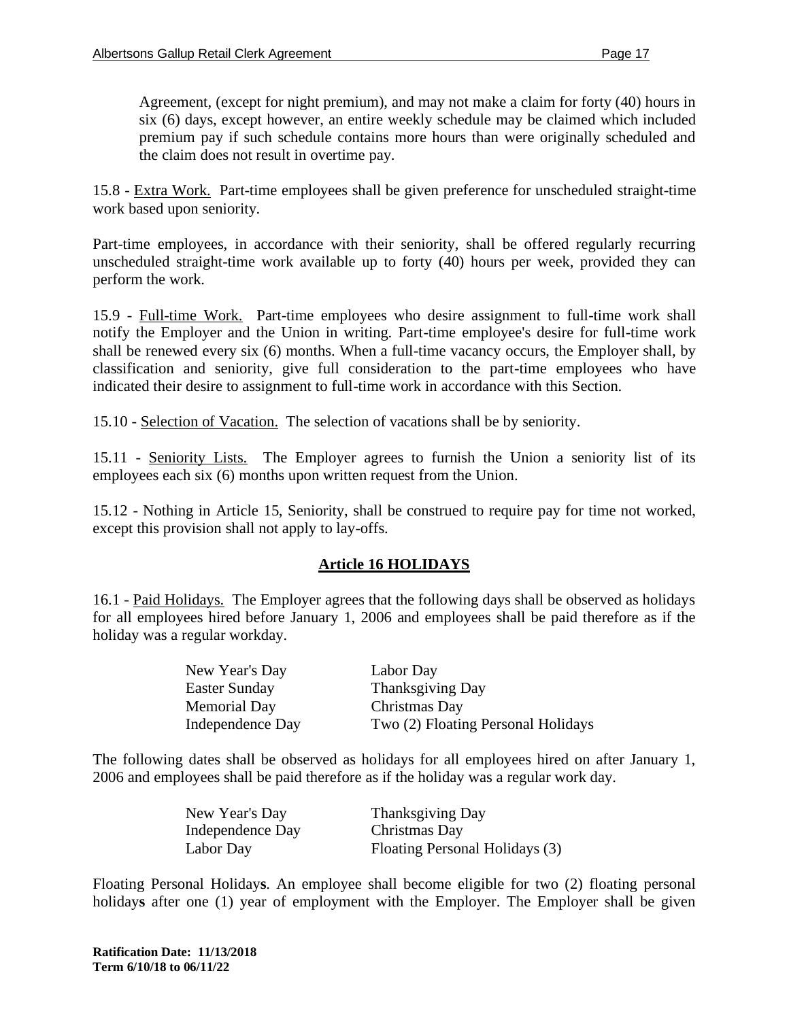Agreement, (except for night premium), and may not make a claim for forty (40) hours in six (6) days, except however, an entire weekly schedule may be claimed which included premium pay if such schedule contains more hours than were originally scheduled and the claim does not result in overtime pay.

15.8 - Extra Work. Part-time employees shall be given preference for unscheduled straight-time work based upon seniority.

Part-time employees, in accordance with their seniority, shall be offered regularly recurring unscheduled straight-time work available up to forty (40) hours per week, provided they can perform the work.

15.9 - Full-time Work. Part-time employees who desire assignment to full-time work shall notify the Employer and the Union in writing. Part-time employee's desire for full-time work shall be renewed every six (6) months. When a full-time vacancy occurs, the Employer shall, by classification and seniority, give full consideration to the part-time employees who have indicated their desire to assignment to full-time work in accordance with this Section.

15.10 - Selection of Vacation. The selection of vacations shall be by seniority.

15.11 - Seniority Lists. The Employer agrees to furnish the Union a seniority list of its employees each six (6) months upon written request from the Union.

15.12 - Nothing in Article 15, Seniority, shall be construed to require pay for time not worked, except this provision shall not apply to lay-offs.

## **Article 16 HOLIDAYS**

<span id="page-17-0"></span>16.1 - Paid Holidays. The Employer agrees that the following days shall be observed as holidays for all employees hired before January 1, 2006 and employees shall be paid therefore as if the holiday was a regular workday.

| New Year's Day      | Labor Day                          |
|---------------------|------------------------------------|
| Easter Sunday       | Thanksgiving Day                   |
| <b>Memorial Day</b> | Christmas Day                      |
| Independence Day    | Two (2) Floating Personal Holidays |

The following dates shall be observed as holidays for all employees hired on after January 1, 2006 and employees shall be paid therefore as if the holiday was a regular work day.

| New Year's Day   | Thanksgiving Day               |
|------------------|--------------------------------|
| Independence Day | Christmas Day                  |
| Labor Day        | Floating Personal Holidays (3) |

Floating Personal Holiday**s**. An employee shall become eligible for two (2) floating personal holidays after one (1) year of employment with the Employer. The Employer shall be given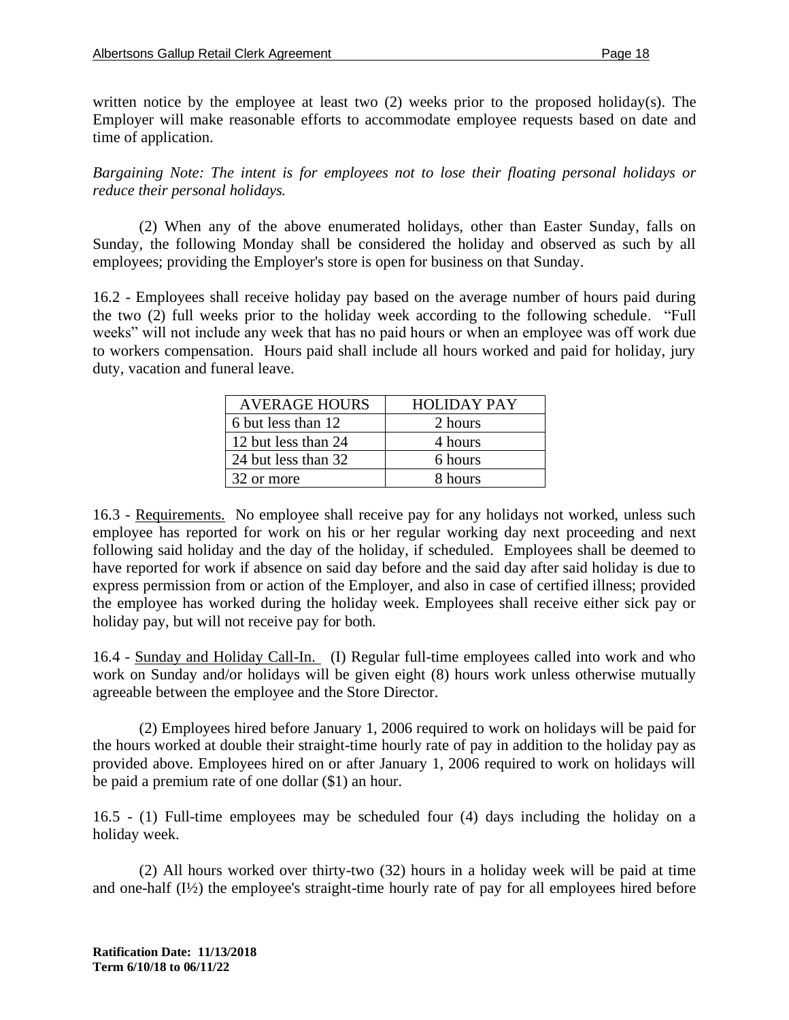written notice by the employee at least two (2) weeks prior to the proposed holiday(s). The Employer will make reasonable efforts to accommodate employee requests based on date and time of application.

*Bargaining Note: The intent is for employees not to lose their floating personal holidays or reduce their personal holidays.* 

(2) When any of the above enumerated holidays, other than Easter Sunday, falls on Sunday, the following Monday shall be considered the holiday and observed as such by all employees; providing the Employer's store is open for business on that Sunday.

16.2 - Employees shall receive holiday pay based on the average number of hours paid during the two (2) full weeks prior to the holiday week according to the following schedule. "Full weeks" will not include any week that has no paid hours or when an employee was off work due to workers compensation. Hours paid shall include all hours worked and paid for holiday, jury duty, vacation and funeral leave.

| <b>AVERAGE HOURS</b> | <b>HOLIDAY PAY</b> |
|----------------------|--------------------|
| 6 but less than 12   | 2 hours            |
| 12 but less than 24  | 4 hours            |
| 24 but less than 32  | 6 hours            |
| 32 or more           | 8 hours            |

16.3 - Requirements. No employee shall receive pay for any holidays not worked, unless such employee has reported for work on his or her regular working day next proceeding and next following said holiday and the day of the holiday, if scheduled. Employees shall be deemed to have reported for work if absence on said day before and the said day after said holiday is due to express permission from or action of the Employer, and also in case of certified illness; provided the employee has worked during the holiday week. Employees shall receive either sick pay or holiday pay, but will not receive pay for both.

16.4 - Sunday and Holiday Call-In. (I) Regular full-time employees called into work and who work on Sunday and/or holidays will be given eight (8) hours work unless otherwise mutually agreeable between the employee and the Store Director.

(2) Employees hired before January 1, 2006 required to work on holidays will be paid for the hours worked at double their straight-time hourly rate of pay in addition to the holiday pay as provided above. Employees hired on or after January 1, 2006 required to work on holidays will be paid a premium rate of one dollar (\$1) an hour.

16.5 - (1) Full-time employees may be scheduled four (4) days including the holiday on a holiday week.

(2) All hours worked over thirty-two (32) hours in a holiday week will be paid at time and one-half (I½) the employee's straight-time hourly rate of pay for all employees hired before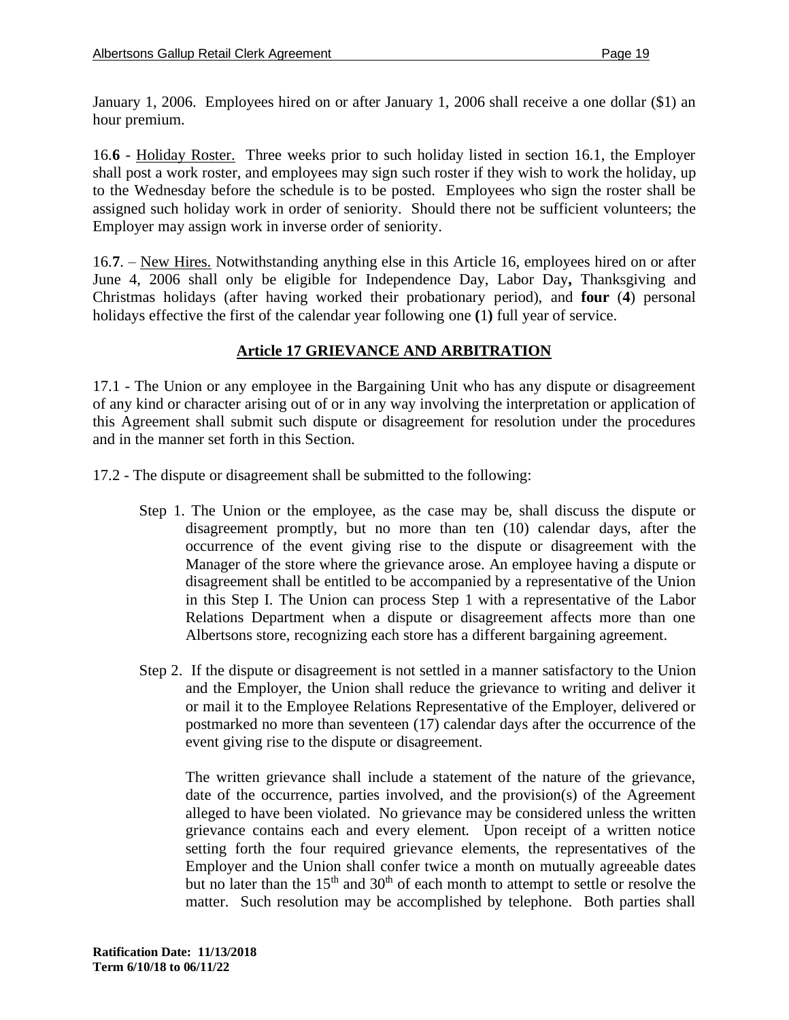January 1, 2006. Employees hired on or after January 1, 2006 shall receive a one dollar (\$1) an hour premium.

16.**6** - Holiday Roster. Three weeks prior to such holiday listed in section 16.1, the Employer shall post a work roster, and employees may sign such roster if they wish to work the holiday, up to the Wednesday before the schedule is to be posted. Employees who sign the roster shall be assigned such holiday work in order of seniority. Should there not be sufficient volunteers; the Employer may assign work in inverse order of seniority.

16.**7**. – New Hires. Notwithstanding anything else in this Article 16, employees hired on or after June 4, 2006 shall only be eligible for Independence Day, Labor Day**,** Thanksgiving and Christmas holidays (after having worked their probationary period), and **four** (**4**) personal holidays effective the first of the calendar year following one **(**1**)** full year of service.

# **Article 17 GRIEVANCE AND ARBITRATION**

<span id="page-19-0"></span>17.1 - The Union or any employee in the Bargaining Unit who has any dispute or disagreement of any kind or character arising out of or in any way involving the interpretation or application of this Agreement shall submit such dispute or disagreement for resolution under the procedures and in the manner set forth in this Section.

17.2 - The dispute or disagreement shall be submitted to the following:

- Step 1. The Union or the employee, as the case may be, shall discuss the dispute or disagreement promptly, but no more than ten (10) calendar days, after the occurrence of the event giving rise to the dispute or disagreement with the Manager of the store where the grievance arose. An employee having a dispute or disagreement shall be entitled to be accompanied by a representative of the Union in this Step I. The Union can process Step 1 with a representative of the Labor Relations Department when a dispute or disagreement affects more than one Albertsons store, recognizing each store has a different bargaining agreement.
- Step 2. If the dispute or disagreement is not settled in a manner satisfactory to the Union and the Employer, the Union shall reduce the grievance to writing and deliver it or mail it to the Employee Relations Representative of the Employer, delivered or postmarked no more than seventeen (17) calendar days after the occurrence of the event giving rise to the dispute or disagreement.

The written grievance shall include a statement of the nature of the grievance, date of the occurrence, parties involved, and the provision(s) of the Agreement alleged to have been violated. No grievance may be considered unless the written grievance contains each and every element. Upon receipt of a written notice setting forth the four required grievance elements, the representatives of the Employer and the Union shall confer twice a month on mutually agreeable dates but no later than the  $15<sup>th</sup>$  and  $30<sup>th</sup>$  of each month to attempt to settle or resolve the matter. Such resolution may be accomplished by telephone. Both parties shall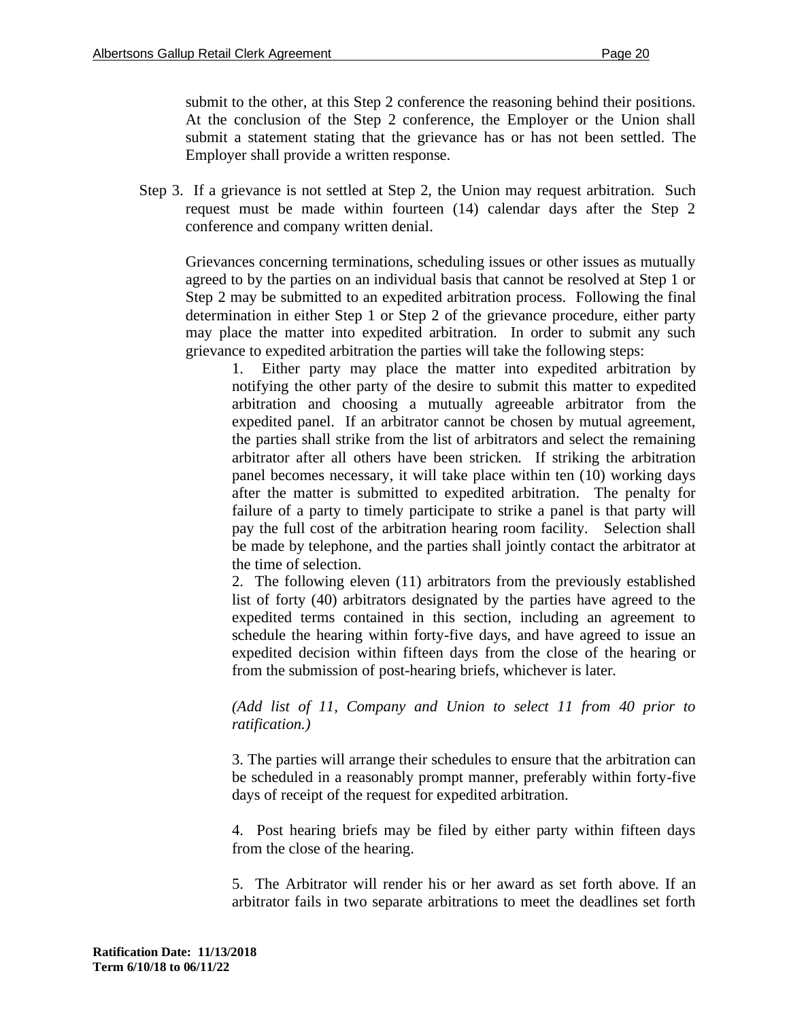submit to the other, at this Step 2 conference the reasoning behind their positions. At the conclusion of the Step 2 conference, the Employer or the Union shall submit a statement stating that the grievance has or has not been settled. The Employer shall provide a written response.

Step 3. If a grievance is not settled at Step 2, the Union may request arbitration. Such request must be made within fourteen (14) calendar days after the Step 2 conference and company written denial.

Grievances concerning terminations, scheduling issues or other issues as mutually agreed to by the parties on an individual basis that cannot be resolved at Step 1 or Step 2 may be submitted to an expedited arbitration process. Following the final determination in either Step 1 or Step 2 of the grievance procedure, either party may place the matter into expedited arbitration. In order to submit any such grievance to expedited arbitration the parties will take the following steps:

1. Either party may place the matter into expedited arbitration by notifying the other party of the desire to submit this matter to expedited arbitration and choosing a mutually agreeable arbitrator from the expedited panel. If an arbitrator cannot be chosen by mutual agreement, the parties shall strike from the list of arbitrators and select the remaining arbitrator after all others have been stricken. If striking the arbitration panel becomes necessary, it will take place within ten (10) working days after the matter is submitted to expedited arbitration. The penalty for failure of a party to timely participate to strike a panel is that party will pay the full cost of the arbitration hearing room facility. Selection shall be made by telephone, and the parties shall jointly contact the arbitrator at the time of selection.

2. The following eleven (11) arbitrators from the previously established list of forty (40) arbitrators designated by the parties have agreed to the expedited terms contained in this section, including an agreement to schedule the hearing within forty-five days, and have agreed to issue an expedited decision within fifteen days from the close of the hearing or from the submission of post-hearing briefs, whichever is later.

*(Add list of 11, Company and Union to select 11 from 40 prior to ratification.)*

3. The parties will arrange their schedules to ensure that the arbitration can be scheduled in a reasonably prompt manner, preferably within forty-five days of receipt of the request for expedited arbitration.

4. Post hearing briefs may be filed by either party within fifteen days from the close of the hearing.

5. The Arbitrator will render his or her award as set forth above. If an arbitrator fails in two separate arbitrations to meet the deadlines set forth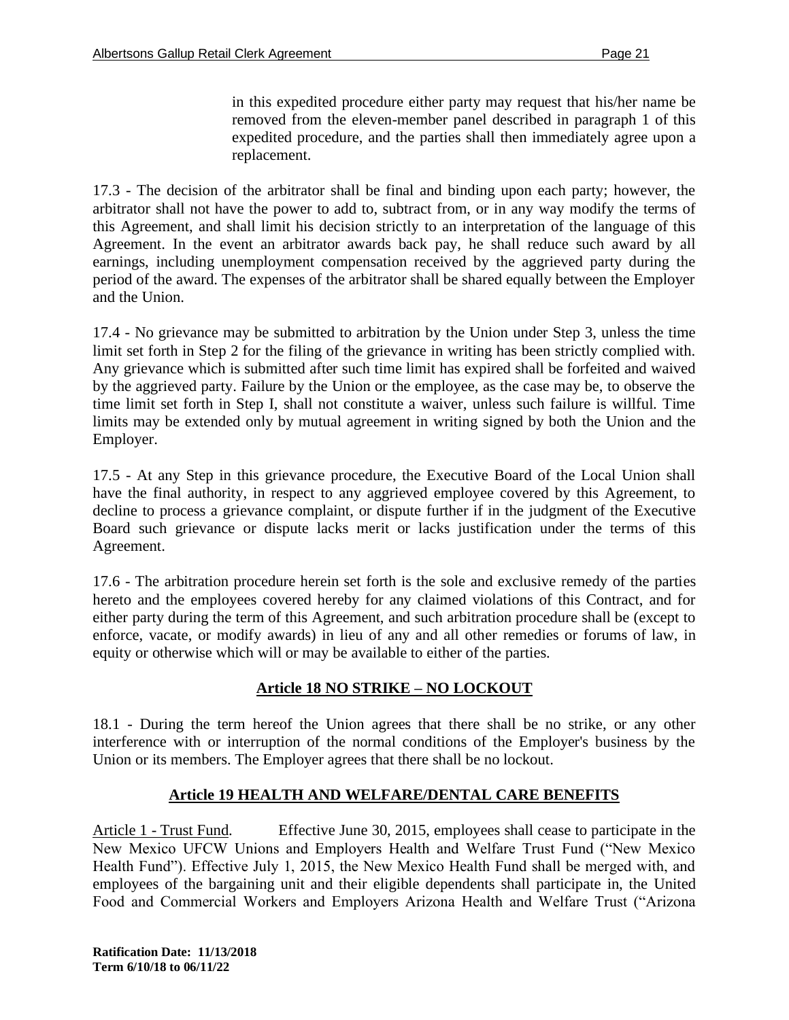in this expedited procedure either party may request that his/her name be removed from the eleven-member panel described in paragraph 1 of this expedited procedure, and the parties shall then immediately agree upon a replacement.

17.3 - The decision of the arbitrator shall be final and binding upon each party; however, the arbitrator shall not have the power to add to, subtract from, or in any way modify the terms of this Agreement, and shall limit his decision strictly to an interpretation of the language of this Agreement. In the event an arbitrator awards back pay, he shall reduce such award by all earnings, including unemployment compensation received by the aggrieved party during the period of the award. The expenses of the arbitrator shall be shared equally between the Employer and the Union.

17.4 - No grievance may be submitted to arbitration by the Union under Step 3, unless the time limit set forth in Step 2 for the filing of the grievance in writing has been strictly complied with. Any grievance which is submitted after such time limit has expired shall be forfeited and waived by the aggrieved party. Failure by the Union or the employee, as the case may be, to observe the time limit set forth in Step I, shall not constitute a waiver, unless such failure is willful. Time limits may be extended only by mutual agreement in writing signed by both the Union and the Employer.

17.5 - At any Step in this grievance procedure, the Executive Board of the Local Union shall have the final authority, in respect to any aggrieved employee covered by this Agreement, to decline to process a grievance complaint, or dispute further if in the judgment of the Executive Board such grievance or dispute lacks merit or lacks justification under the terms of this Agreement.

17.6 - The arbitration procedure herein set forth is the sole and exclusive remedy of the parties hereto and the employees covered hereby for any claimed violations of this Contract, and for either party during the term of this Agreement, and such arbitration procedure shall be (except to enforce, vacate, or modify awards) in lieu of any and all other remedies or forums of law, in equity or otherwise which will or may be available to either of the parties.

# **Article 18 NO STRIKE – NO LOCKOUT**

<span id="page-21-0"></span>18.1 - During the term hereof the Union agrees that there shall be no strike, or any other interference with or interruption of the normal conditions of the Employer's business by the Union or its members. The Employer agrees that there shall be no lockout.

## **Article 19 HEALTH AND WELFARE/DENTAL CARE BENEFITS**

<span id="page-21-1"></span>Article 1 - Trust Fund. Effective June 30, 2015, employees shall cease to participate in the New Mexico UFCW Unions and Employers Health and Welfare Trust Fund ("New Mexico Health Fund"). Effective July 1, 2015, the New Mexico Health Fund shall be merged with, and employees of the bargaining unit and their eligible dependents shall participate in, the United Food and Commercial Workers and Employers Arizona Health and Welfare Trust ("Arizona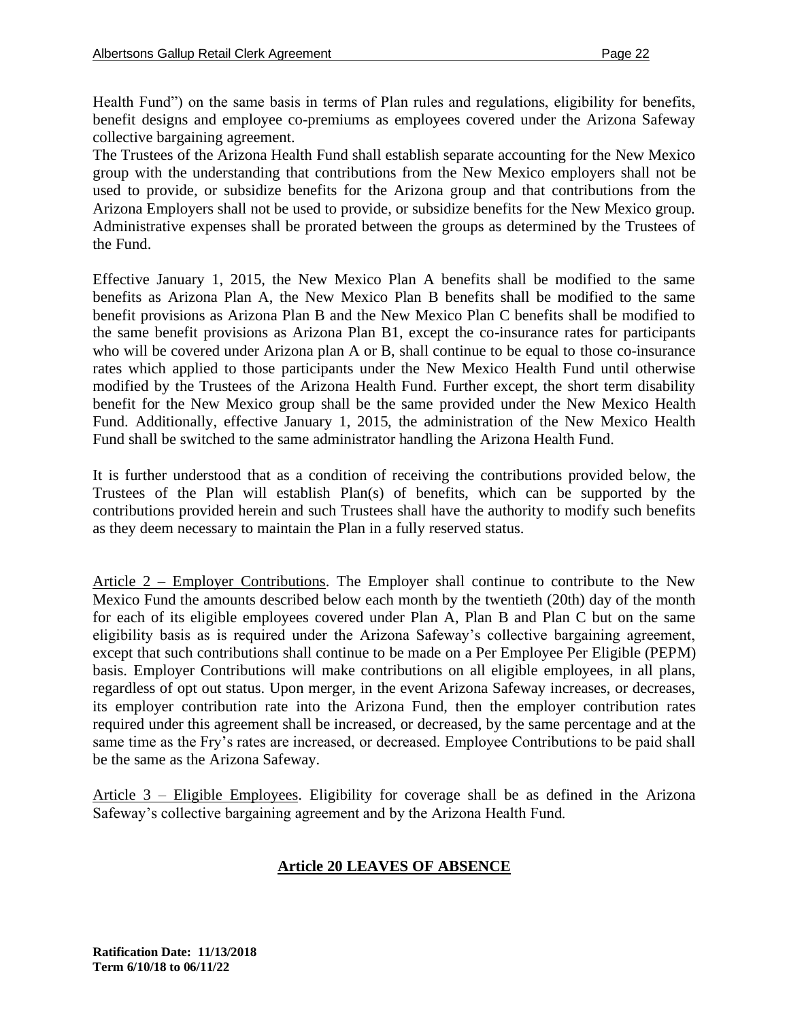Health Fund") on the same basis in terms of Plan rules and regulations, eligibility for benefits, benefit designs and employee co-premiums as employees covered under the Arizona Safeway collective bargaining agreement.

The Trustees of the Arizona Health Fund shall establish separate accounting for the New Mexico group with the understanding that contributions from the New Mexico employers shall not be used to provide, or subsidize benefits for the Arizona group and that contributions from the Arizona Employers shall not be used to provide, or subsidize benefits for the New Mexico group. Administrative expenses shall be prorated between the groups as determined by the Trustees of the Fund.

Effective January 1, 2015, the New Mexico Plan A benefits shall be modified to the same benefits as Arizona Plan A, the New Mexico Plan B benefits shall be modified to the same benefit provisions as Arizona Plan B and the New Mexico Plan C benefits shall be modified to the same benefit provisions as Arizona Plan B1, except the co-insurance rates for participants who will be covered under Arizona plan A or B, shall continue to be equal to those co-insurance rates which applied to those participants under the New Mexico Health Fund until otherwise modified by the Trustees of the Arizona Health Fund. Further except, the short term disability benefit for the New Mexico group shall be the same provided under the New Mexico Health Fund. Additionally, effective January 1, 2015, the administration of the New Mexico Health Fund shall be switched to the same administrator handling the Arizona Health Fund.

It is further understood that as a condition of receiving the contributions provided below, the Trustees of the Plan will establish Plan(s) of benefits, which can be supported by the contributions provided herein and such Trustees shall have the authority to modify such benefits as they deem necessary to maintain the Plan in a fully reserved status.

Article 2 – Employer Contributions. The Employer shall continue to contribute to the New Mexico Fund the amounts described below each month by the twentieth (20th) day of the month for each of its eligible employees covered under Plan A, Plan B and Plan C but on the same eligibility basis as is required under the Arizona Safeway's collective bargaining agreement, except that such contributions shall continue to be made on a Per Employee Per Eligible (PEPM) basis. Employer Contributions will make contributions on all eligible employees, in all plans, regardless of opt out status. Upon merger, in the event Arizona Safeway increases, or decreases, its employer contribution rate into the Arizona Fund, then the employer contribution rates required under this agreement shall be increased, or decreased, by the same percentage and at the same time as the Fry's rates are increased, or decreased. Employee Contributions to be paid shall be the same as the Arizona Safeway.

<span id="page-22-0"></span>Article 3 – Eligible Employees. Eligibility for coverage shall be as defined in the Arizona Safeway's collective bargaining agreement and by the Arizona Health Fund.

## **Article 20 LEAVES OF ABSENCE**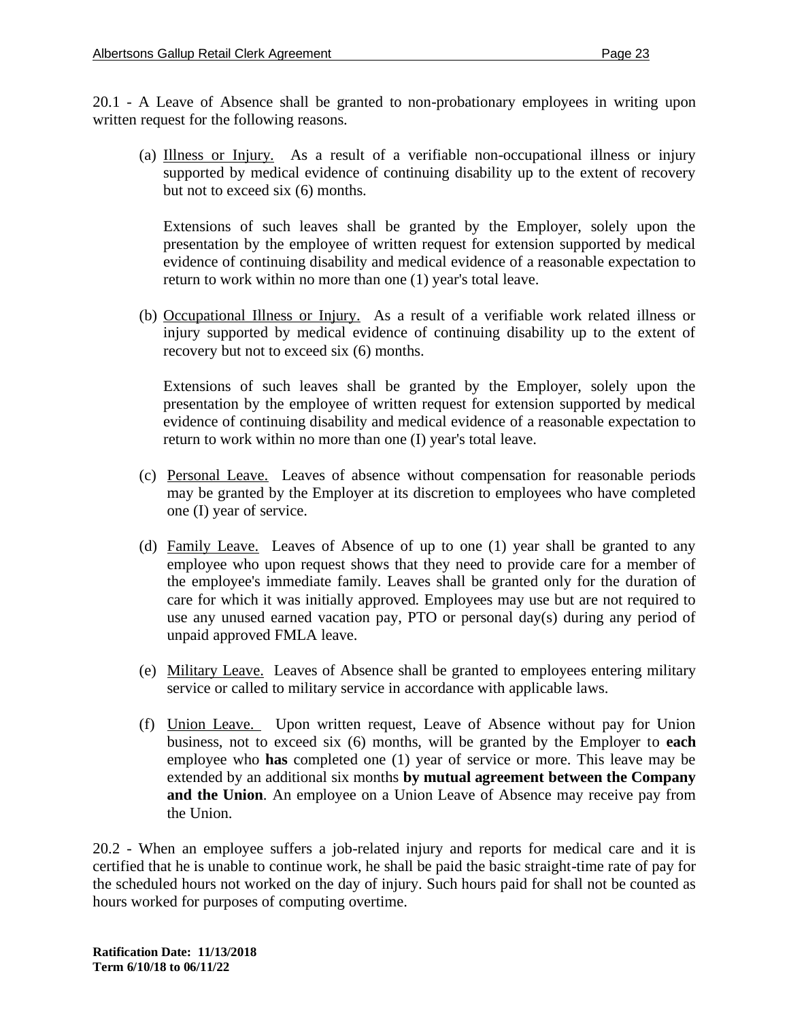20.1 - A Leave of Absence shall be granted to non-probationary employees in writing upon written request for the following reasons.

(a) Illness or Injury. As a result of a verifiable non-occupational illness or injury supported by medical evidence of continuing disability up to the extent of recovery but not to exceed six (6) months.

Extensions of such leaves shall be granted by the Employer, solely upon the presentation by the employee of written request for extension supported by medical evidence of continuing disability and medical evidence of a reasonable expectation to return to work within no more than one (1) year's total leave.

(b) Occupational Illness or Injury. As a result of a verifiable work related illness or injury supported by medical evidence of continuing disability up to the extent of recovery but not to exceed six (6) months.

Extensions of such leaves shall be granted by the Employer, solely upon the presentation by the employee of written request for extension supported by medical evidence of continuing disability and medical evidence of a reasonable expectation to return to work within no more than one (I) year's total leave.

- (c) Personal Leave. Leaves of absence without compensation for reasonable periods may be granted by the Employer at its discretion to employees who have completed one (I) year of service.
- (d) Family Leave. Leaves of Absence of up to one (1) year shall be granted to any employee who upon request shows that they need to provide care for a member of the employee's immediate family. Leaves shall be granted only for the duration of care for which it was initially approved. Employees may use but are not required to use any unused earned vacation pay, PTO or personal day(s) during any period of unpaid approved FMLA leave.
- (e) Military Leave. Leaves of Absence shall be granted to employees entering military service or called to military service in accordance with applicable laws.
- (f) Union Leave. Upon written request, Leave of Absence without pay for Union business, not to exceed six (6) months, will be granted by the Employer to **each** employee who **has** completed one (1) year of service or more. This leave may be extended by an additional six months **by mutual agreement between the Company and the Union**. An employee on a Union Leave of Absence may receive pay from the Union.

20.2 - When an employee suffers a job-related injury and reports for medical care and it is certified that he is unable to continue work, he shall be paid the basic straight-time rate of pay for the scheduled hours not worked on the day of injury. Such hours paid for shall not be counted as hours worked for purposes of computing overtime.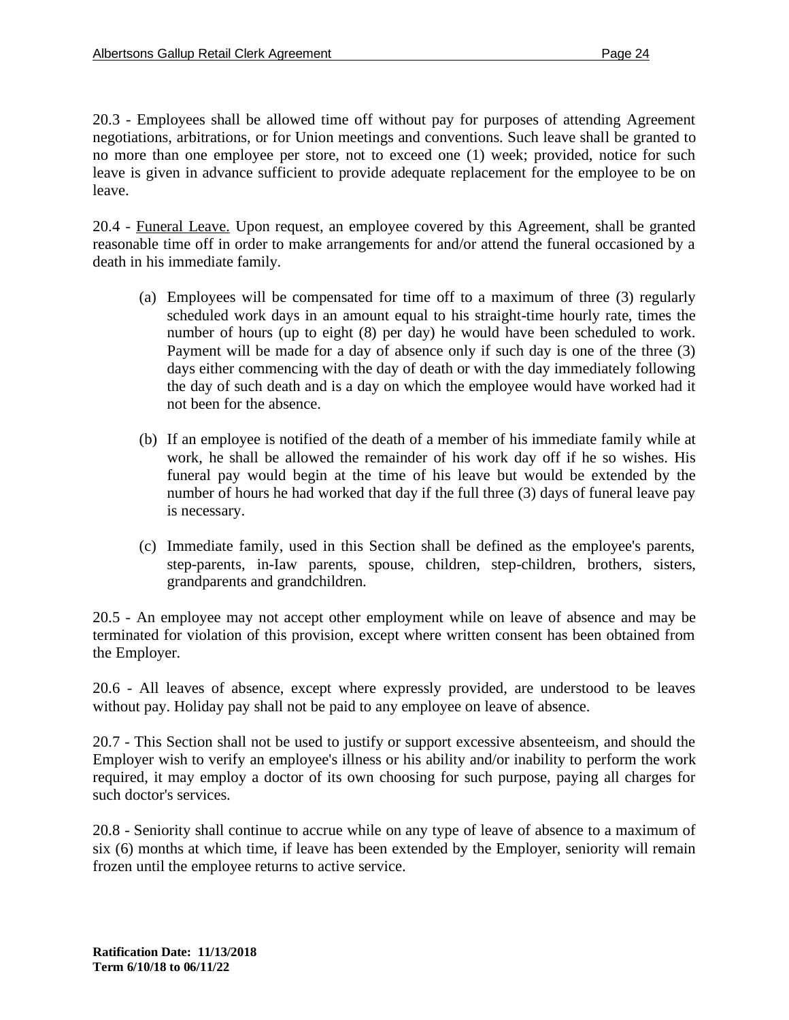20.3 - Employees shall be allowed time off without pay for purposes of attending Agreement negotiations, arbitrations, or for Union meetings and conventions. Such leave shall be granted to no more than one employee per store, not to exceed one (1) week; provided, notice for such leave is given in advance sufficient to provide adequate replacement for the employee to be on leave.

20.4 - Funeral Leave. Upon request, an employee covered by this Agreement, shall be granted reasonable time off in order to make arrangements for and/or attend the funeral occasioned by a death in his immediate family.

- (a) Employees will be compensated for time off to a maximum of three (3) regularly scheduled work days in an amount equal to his straight-time hourly rate, times the number of hours (up to eight (8) per day) he would have been scheduled to work. Payment will be made for a day of absence only if such day is one of the three (3) days either commencing with the day of death or with the day immediately following the day of such death and is a day on which the employee would have worked had it not been for the absence.
- (b) If an employee is notified of the death of a member of his immediate family while at work, he shall be allowed the remainder of his work day off if he so wishes. His funeral pay would begin at the time of his leave but would be extended by the number of hours he had worked that day if the full three (3) days of funeral leave pay is necessary.
- (c) Immediate family, used in this Section shall be defined as the employee's parents, step-parents, in-Iaw parents, spouse, children, step-children, brothers, sisters, grandparents and grandchildren.

20.5 - An employee may not accept other employment while on leave of absence and may be terminated for violation of this provision, except where written consent has been obtained from the Employer.

20.6 - All leaves of absence, except where expressly provided, are understood to be leaves without pay. Holiday pay shall not be paid to any employee on leave of absence.

20.7 - This Section shall not be used to justify or support excessive absenteeism, and should the Employer wish to verify an employee's illness or his ability and/or inability to perform the work required, it may employ a doctor of its own choosing for such purpose, paying all charges for such doctor's services.

20.8 - Seniority shall continue to accrue while on any type of leave of absence to a maximum of six (6) months at which time, if leave has been extended by the Employer, seniority will remain frozen until the employee returns to active service.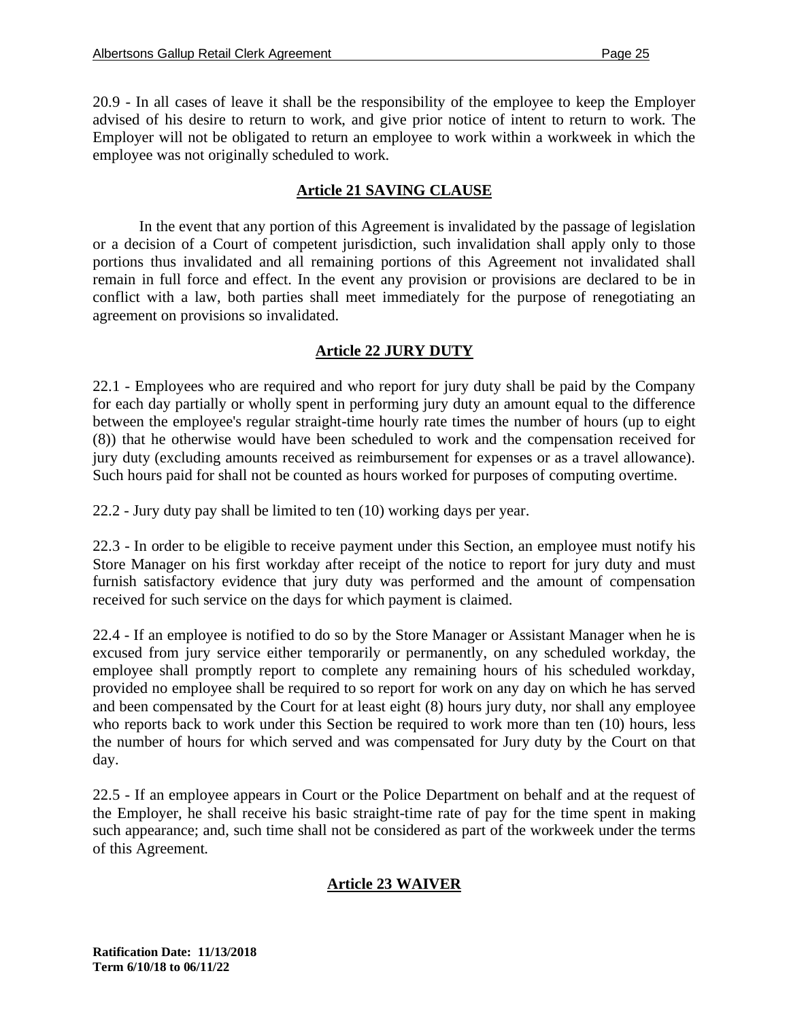20.9 - In all cases of leave it shall be the responsibility of the employee to keep the Employer advised of his desire to return to work, and give prior notice of intent to return to work. The Employer will not be obligated to return an employee to work within a workweek in which the employee was not originally scheduled to work.

## **Article 21 SAVING CLAUSE**

<span id="page-25-0"></span>In the event that any portion of this Agreement is invalidated by the passage of legislation or a decision of a Court of competent jurisdiction, such invalidation shall apply only to those portions thus invalidated and all remaining portions of this Agreement not invalidated shall remain in full force and effect. In the event any provision or provisions are declared to be in conflict with a law, both parties shall meet immediately for the purpose of renegotiating an agreement on provisions so invalidated.

## **Article 22 JURY DUTY**

<span id="page-25-1"></span>22.1 - Employees who are required and who report for jury duty shall be paid by the Company for each day partially or wholly spent in performing jury duty an amount equal to the difference between the employee's regular straight-time hourly rate times the number of hours (up to eight (8)) that he otherwise would have been scheduled to work and the compensation received for jury duty (excluding amounts received as reimbursement for expenses or as a travel allowance). Such hours paid for shall not be counted as hours worked for purposes of computing overtime.

22.2 - Jury duty pay shall be limited to ten (10) working days per year.

22.3 - In order to be eligible to receive payment under this Section, an employee must notify his Store Manager on his first workday after receipt of the notice to report for jury duty and must furnish satisfactory evidence that jury duty was performed and the amount of compensation received for such service on the days for which payment is claimed.

22.4 - If an employee is notified to do so by the Store Manager or Assistant Manager when he is excused from jury service either temporarily or permanently, on any scheduled workday, the employee shall promptly report to complete any remaining hours of his scheduled workday, provided no employee shall be required to so report for work on any day on which he has served and been compensated by the Court for at least eight (8) hours jury duty, nor shall any employee who reports back to work under this Section be required to work more than ten (10) hours, less the number of hours for which served and was compensated for Jury duty by the Court on that day.

22.5 - If an employee appears in Court or the Police Department on behalf and at the request of the Employer, he shall receive his basic straight-time rate of pay for the time spent in making such appearance; and, such time shall not be considered as part of the workweek under the terms of this Agreement.

## **Article 23 WAIVER**

<span id="page-25-2"></span>**Ratification Date: 11/13/2018 Term 6/10/18 to 06/11/22**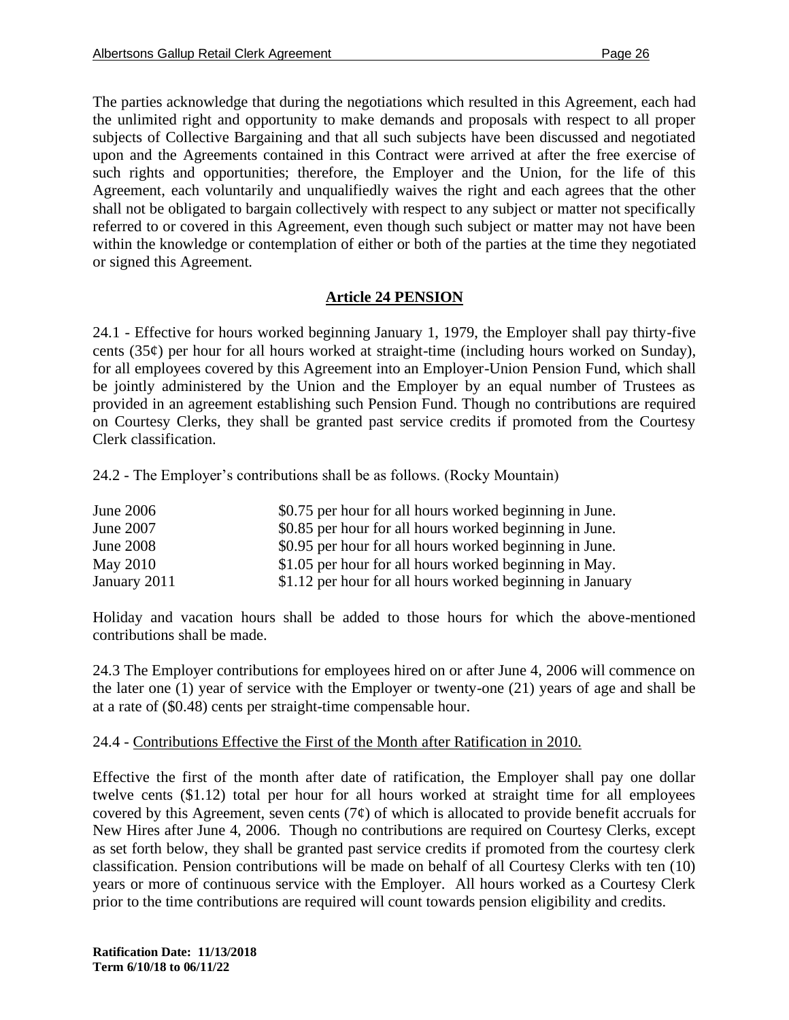The parties acknowledge that during the negotiations which resulted in this Agreement, each had the unlimited right and opportunity to make demands and proposals with respect to all proper subjects of Collective Bargaining and that all such subjects have been discussed and negotiated upon and the Agreements contained in this Contract were arrived at after the free exercise of such rights and opportunities; therefore, the Employer and the Union, for the life of this Agreement, each voluntarily and unqualifiedly waives the right and each agrees that the other shall not be obligated to bargain collectively with respect to any subject or matter not specifically referred to or covered in this Agreement, even though such subject or matter may not have been within the knowledge or contemplation of either or both of the parties at the time they negotiated or signed this Agreement.

## **Article 24 PENSION**

<span id="page-26-0"></span>24.1 - Effective for hours worked beginning January 1, 1979, the Employer shall pay thirty-five cents (35¢) per hour for all hours worked at straight-time (including hours worked on Sunday), for all employees covered by this Agreement into an Employer-Union Pension Fund, which shall be jointly administered by the Union and the Employer by an equal number of Trustees as provided in an agreement establishing such Pension Fund. Though no contributions are required on Courtesy Clerks, they shall be granted past service credits if promoted from the Courtesy Clerk classification.

24.2 - The Employer's contributions shall be as follows. (Rocky Mountain)

| June 2006       | \$0.75 per hour for all hours worked beginning in June.   |
|-----------------|-----------------------------------------------------------|
| June 2007       | \$0.85 per hour for all hours worked beginning in June.   |
| June 2008       | \$0.95 per hour for all hours worked beginning in June.   |
| <b>May 2010</b> | \$1.05 per hour for all hours worked beginning in May.    |
| January 2011    | \$1.12 per hour for all hours worked beginning in January |

Holiday and vacation hours shall be added to those hours for which the above-mentioned contributions shall be made.

24.3 The Employer contributions for employees hired on or after June 4, 2006 will commence on the later one (1) year of service with the Employer or twenty-one (21) years of age and shall be at a rate of (\$0.48) cents per straight-time compensable hour.

#### 24.4 - Contributions Effective the First of the Month after Ratification in 2010.

Effective the first of the month after date of ratification, the Employer shall pay one dollar twelve cents (\$1.12) total per hour for all hours worked at straight time for all employees covered by this Agreement, seven cents  $(7¢)$  of which is allocated to provide benefit accruals for New Hires after June 4, 2006. Though no contributions are required on Courtesy Clerks, except as set forth below, they shall be granted past service credits if promoted from the courtesy clerk classification. Pension contributions will be made on behalf of all Courtesy Clerks with ten (10) years or more of continuous service with the Employer. All hours worked as a Courtesy Clerk prior to the time contributions are required will count towards pension eligibility and credits.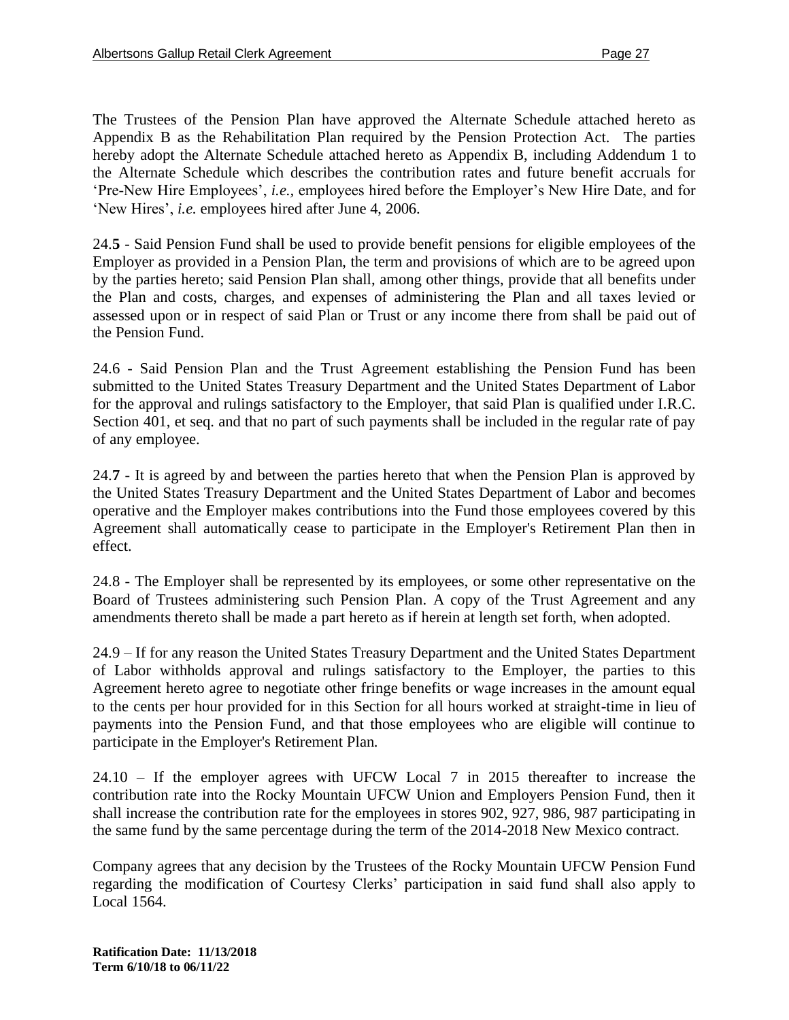The Trustees of the Pension Plan have approved the Alternate Schedule attached hereto as Appendix B as the Rehabilitation Plan required by the Pension Protection Act. The parties hereby adopt the Alternate Schedule attached hereto as Appendix B, including Addendum 1 to the Alternate Schedule which describes the contribution rates and future benefit accruals for 'Pre-New Hire Employees', *i.e.,* employees hired before the Employer's New Hire Date, and for 'New Hires', *i.e.* employees hired after June 4, 2006.

24.**5** - Said Pension Fund shall be used to provide benefit pensions for eligible employees of the Employer as provided in a Pension Plan, the term and provisions of which are to be agreed upon by the parties hereto; said Pension Plan shall, among other things, provide that all benefits under the Plan and costs, charges, and expenses of administering the Plan and all taxes levied or assessed upon or in respect of said Plan or Trust or any income there from shall be paid out of the Pension Fund.

24.6 - Said Pension Plan and the Trust Agreement establishing the Pension Fund has been submitted to the United States Treasury Department and the United States Department of Labor for the approval and rulings satisfactory to the Employer, that said Plan is qualified under I.R.C. Section 401, et seq. and that no part of such payments shall be included in the regular rate of pay of any employee.

24.**7** - It is agreed by and between the parties hereto that when the Pension Plan is approved by the United States Treasury Department and the United States Department of Labor and becomes operative and the Employer makes contributions into the Fund those employees covered by this Agreement shall automatically cease to participate in the Employer's Retirement Plan then in effect.

24.8 - The Employer shall be represented by its employees, or some other representative on the Board of Trustees administering such Pension Plan. A copy of the Trust Agreement and any amendments thereto shall be made a part hereto as if herein at length set forth, when adopted.

24.9 – If for any reason the United States Treasury Department and the United States Department of Labor withholds approval and rulings satisfactory to the Employer, the parties to this Agreement hereto agree to negotiate other fringe benefits or wage increases in the amount equal to the cents per hour provided for in this Section for all hours worked at straight-time in lieu of payments into the Pension Fund, and that those employees who are eligible will continue to participate in the Employer's Retirement Plan.

24.10 – If the employer agrees with UFCW Local 7 in 2015 thereafter to increase the contribution rate into the Rocky Mountain UFCW Union and Employers Pension Fund, then it shall increase the contribution rate for the employees in stores 902, 927, 986, 987 participating in the same fund by the same percentage during the term of the 2014-2018 New Mexico contract.

Company agrees that any decision by the Trustees of the Rocky Mountain UFCW Pension Fund regarding the modification of Courtesy Clerks' participation in said fund shall also apply to Local 1564.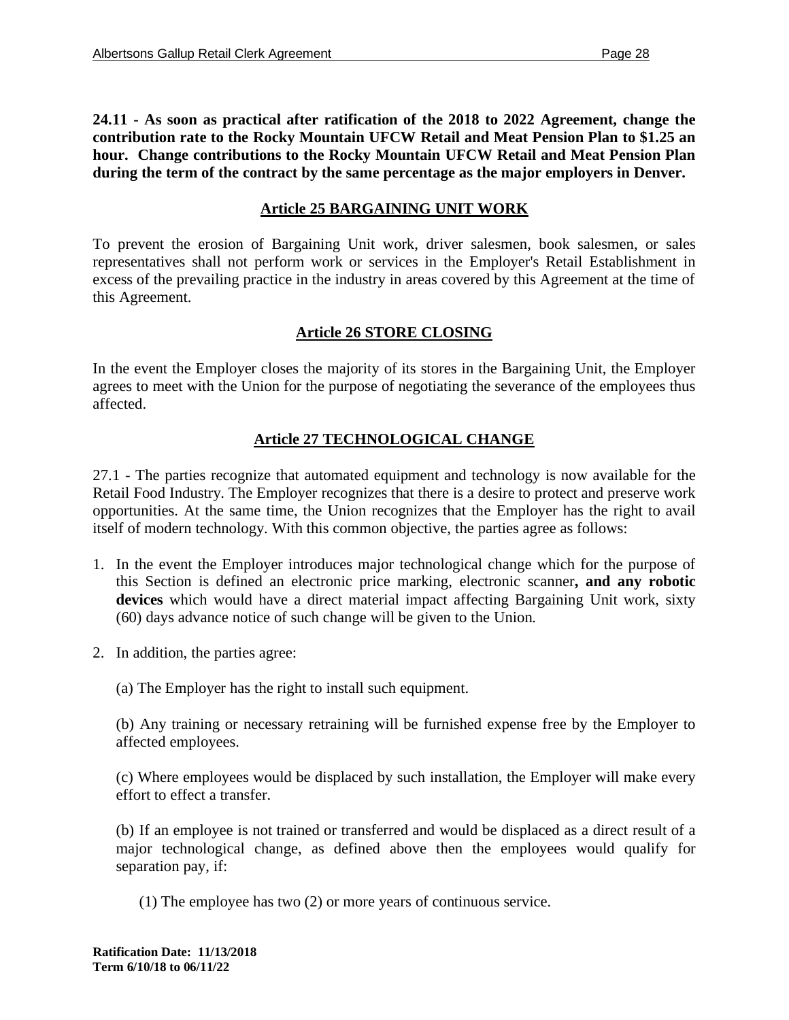**24.11 - As soon as practical after ratification of the 2018 to 2022 Agreement, change the contribution rate to the Rocky Mountain UFCW Retail and Meat Pension Plan to \$1.25 an hour. Change contributions to the Rocky Mountain UFCW Retail and Meat Pension Plan during the term of the contract by the same percentage as the major employers in Denver.**

#### **Article 25 BARGAINING UNIT WORK**

<span id="page-28-0"></span>To prevent the erosion of Bargaining Unit work, driver salesmen, book salesmen, or sales representatives shall not perform work or services in the Employer's Retail Establishment in excess of the prevailing practice in the industry in areas covered by this Agreement at the time of this Agreement.

#### **Article 26 STORE CLOSING**

<span id="page-28-1"></span>In the event the Employer closes the majority of its stores in the Bargaining Unit, the Employer agrees to meet with the Union for the purpose of negotiating the severance of the employees thus affected.

## **Article 27 TECHNOLOGICAL CHANGE**

<span id="page-28-2"></span>27.1 - The parties recognize that automated equipment and technology is now available for the Retail Food Industry. The Employer recognizes that there is a desire to protect and preserve work opportunities. At the same time, the Union recognizes that the Employer has the right to avail itself of modern technology. With this common objective, the parties agree as follows:

- 1. In the event the Employer introduces major technological change which for the purpose of this Section is defined an electronic price marking, electronic scanner**, and any robotic devices** which would have a direct material impact affecting Bargaining Unit work, sixty (60) days advance notice of such change will be given to the Union.
- 2. In addition, the parties agree:
	- (a) The Employer has the right to install such equipment.

(b) Any training or necessary retraining will be furnished expense free by the Employer to affected employees.

(c) Where employees would be displaced by such installation, the Employer will make every effort to effect a transfer.

(b) If an employee is not trained or transferred and would be displaced as a direct result of a major technological change, as defined above then the employees would qualify for separation pay, if:

(1) The employee has two (2) or more years of continuous service.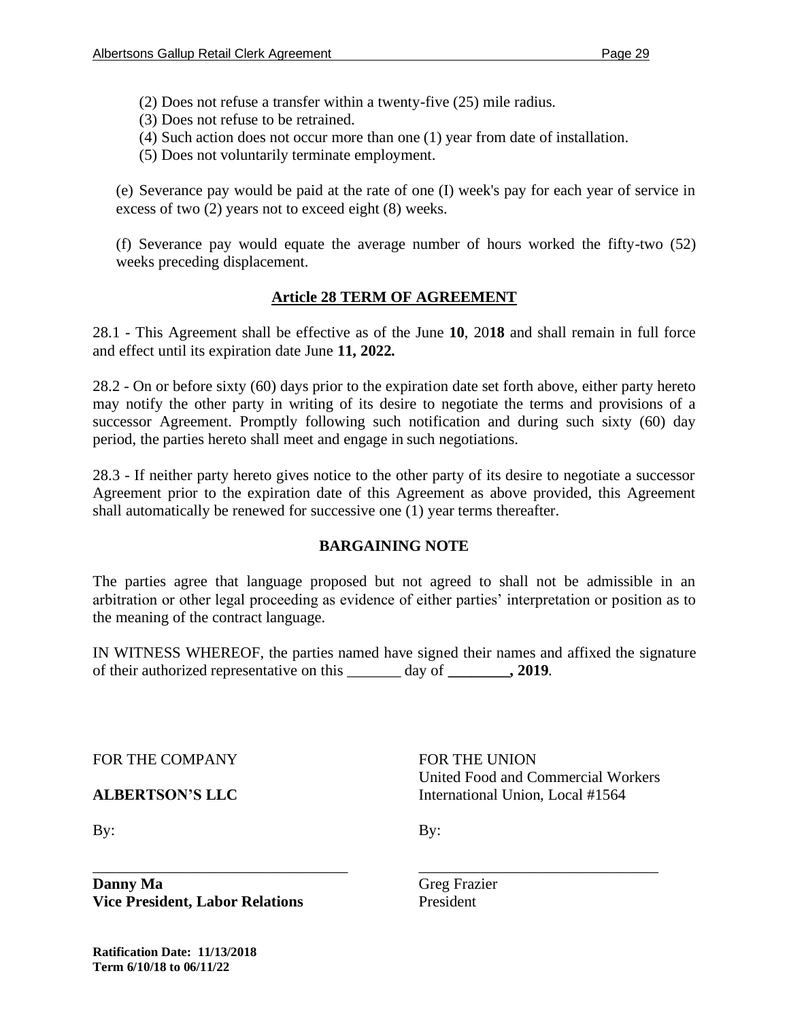(2) Does not refuse a transfer within a twenty-five (25) mile radius.

- (3) Does not refuse to be retrained.
- (4) Such action does not occur more than one (1) year from date of installation.
- (5) Does not voluntarily terminate employment.

(e) Severance pay would be paid at the rate of one (I) week's pay for each year of service in excess of two (2) years not to exceed eight (8) weeks.

(f) Severance pay would equate the average number of hours worked the fifty-two (52) weeks preceding displacement.

## **Article 28 TERM OF AGREEMENT**

<span id="page-29-0"></span>28.1 - This Agreement shall be effective as of the June **10**, 20**18** and shall remain in full force and effect until its expiration date June **11, 2022.**

28.2 - On or before sixty (60) days prior to the expiration date set forth above, either party hereto may notify the other party in writing of its desire to negotiate the terms and provisions of a successor Agreement. Promptly following such notification and during such sixty (60) day period, the parties hereto shall meet and engage in such negotiations.

28.3 - If neither party hereto gives notice to the other party of its desire to negotiate a successor Agreement prior to the expiration date of this Agreement as above provided, this Agreement shall automatically be renewed for successive one (1) year terms thereafter.

## **BARGAINING NOTE**

The parties agree that language proposed but not agreed to shall not be admissible in an arbitration or other legal proceeding as evidence of either parties' interpretation or position as to the meaning of the contract language.

IN WITNESS WHEREOF, the parties named have signed their names and affixed the signature of their authorized representative on this \_\_\_\_\_\_\_ day of **\_\_\_\_\_\_\_\_, 2019**.

FOR THE COMPANY FOR THE UNION

**ALBERTSON'S LLC**

By:

United Food and Commercial Workers International Union, Local #1564

\_\_\_\_\_\_\_\_\_\_\_\_\_\_\_\_\_\_\_\_\_\_\_\_\_\_\_\_\_\_\_

\_\_\_\_\_\_\_\_\_\_\_\_\_\_\_\_\_\_\_\_\_\_\_\_\_\_\_\_\_\_\_\_\_ **Danny Ma Vice President, Labor Relations**

Greg Frazier President

By:

**Ratification Date: 11/13/2018 Term 6/10/18 to 06/11/22**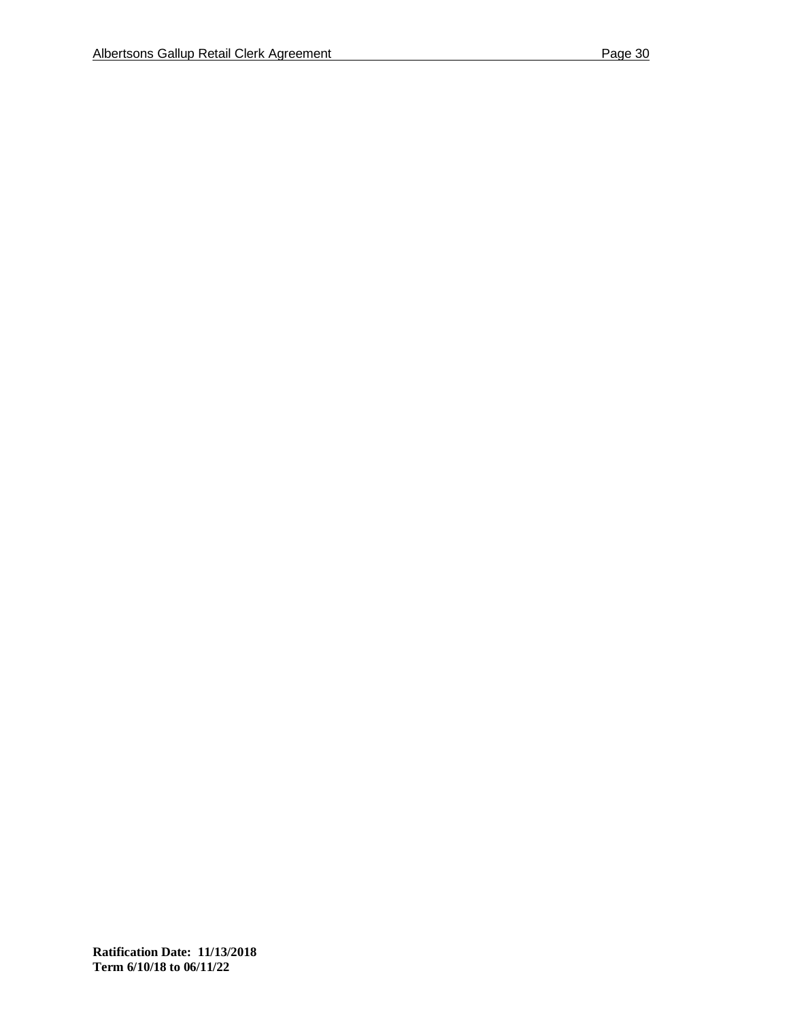**Ratification Date: 11/13/2018 Term 6/10/18 to 06/11/22**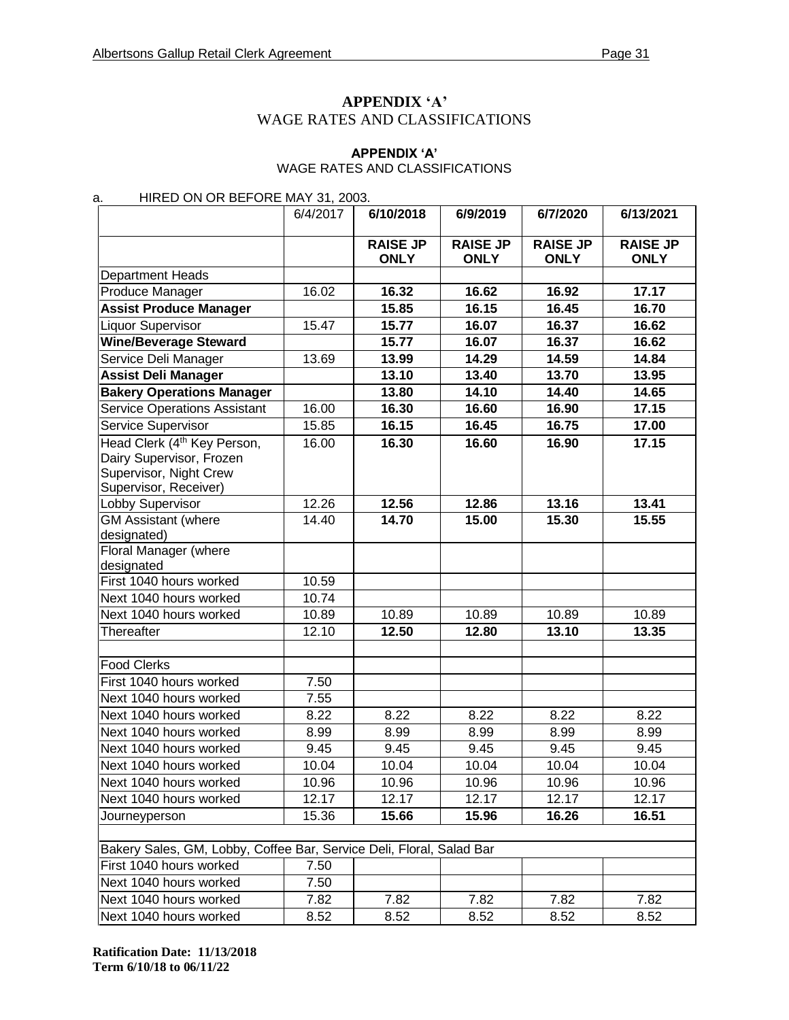#### **APPENDIX 'A'** WAGE RATES AND CLASSIFICATIONS

#### **APPENDIX 'A'** WAGE RATES AND CLASSIFICATIONS

a. HIRED ON OR BEFORE MAY 31, 2003.

|                                                                      | 6/4/2017 | 6/10/2018       | 6/9/2019        | 6/7/2020        | 6/13/2021       |
|----------------------------------------------------------------------|----------|-----------------|-----------------|-----------------|-----------------|
|                                                                      |          | <b>RAISE JP</b> | <b>RAISE JP</b> | <b>RAISE JP</b> | <b>RAISE JP</b> |
|                                                                      |          | <b>ONLY</b>     | <b>ONLY</b>     | <b>ONLY</b>     | <b>ONLY</b>     |
| <b>Department Heads</b>                                              |          |                 |                 |                 |                 |
| Produce Manager                                                      | 16.02    | 16.32           | 16.62           | 16.92           | 17.17           |
| <b>Assist Produce Manager</b>                                        |          | 15.85           | 16.15           | 16.45           | 16.70           |
| <b>Liquor Supervisor</b>                                             | 15.47    | 15.77           | 16.07           | 16.37           | 16.62           |
| <b>Wine/Beverage Steward</b>                                         |          | 15.77           | 16.07           | 16.37           | 16.62           |
| Service Deli Manager                                                 | 13.69    | 13.99           | 14.29           | 14.59           | 14.84           |
| <b>Assist Deli Manager</b>                                           |          | 13.10           | 13.40           | 13.70           | 13.95           |
| <b>Bakery Operations Manager</b>                                     |          | 13.80           | 14.10           | 14.40           | 14.65           |
| <b>Service Operations Assistant</b>                                  | 16.00    | 16.30           | 16.60           | 16.90           | 17.15           |
| Service Supervisor                                                   | 15.85    | 16.15           | 16.45           | 16.75           | 17.00           |
| Head Clerk (4 <sup>th</sup> Key Person,                              | 16.00    | 16.30           | 16.60           | 16.90           | 17.15           |
| Dairy Supervisor, Frozen                                             |          |                 |                 |                 |                 |
| Supervisor, Night Crew                                               |          |                 |                 |                 |                 |
| Supervisor, Receiver)                                                |          |                 |                 |                 |                 |
| Lobby Supervisor                                                     | 12.26    | 12.56           | 12.86           | 13.16           | 13.41           |
| <b>GM Assistant (where</b><br>designated)                            | 14.40    | 14.70           | 15.00           | 15.30           | 15.55           |
| Floral Manager (where                                                |          |                 |                 |                 |                 |
| designated                                                           |          |                 |                 |                 |                 |
| First 1040 hours worked                                              | 10.59    |                 |                 |                 |                 |
| Next 1040 hours worked                                               | 10.74    |                 |                 |                 |                 |
| Next 1040 hours worked                                               | 10.89    | 10.89           | 10.89           | 10.89           | 10.89           |
| Thereafter                                                           | 12.10    | 12.50           | 12.80           | 13.10           | 13.35           |
|                                                                      |          |                 |                 |                 |                 |
| <b>Food Clerks</b>                                                   |          |                 |                 |                 |                 |
| First 1040 hours worked                                              | 7.50     |                 |                 |                 |                 |
| Next 1040 hours worked                                               | 7.55     |                 |                 |                 |                 |
| Next 1040 hours worked                                               | 8.22     | 8.22            | 8.22            | 8.22            | 8.22            |
| Next 1040 hours worked                                               | 8.99     | 8.99            | 8.99            | 8.99            | 8.99            |
| Next 1040 hours worked                                               | 9.45     | 9.45            | 9.45            | 9.45            | 9.45            |
| Next 1040 hours worked                                               | 10.04    | 10.04           | 10.04           | 10.04           | 10.04           |
| Next 1040 hours worked                                               | 10.96    | 10.96           | 10.96           | 10.96           | 10.96           |
| Next 1040 hours worked                                               | 12.17    | 12.17           | 12.17           | 12.17           | 12.17           |
| Journeyperson                                                        | 15.36    | 15.66           | 15.96           | 16.26           | 16.51           |
|                                                                      |          |                 |                 |                 |                 |
| Bakery Sales, GM, Lobby, Coffee Bar, Service Deli, Floral, Salad Bar |          |                 |                 |                 |                 |
| First 1040 hours worked                                              | 7.50     |                 |                 |                 |                 |
| Next 1040 hours worked                                               | 7.50     |                 |                 |                 |                 |
| Next 1040 hours worked                                               | 7.82     | 7.82            | 7.82            | 7.82            | 7.82            |
| Next 1040 hours worked                                               | 8.52     | 8.52            | 8.52            | 8.52            | 8.52            |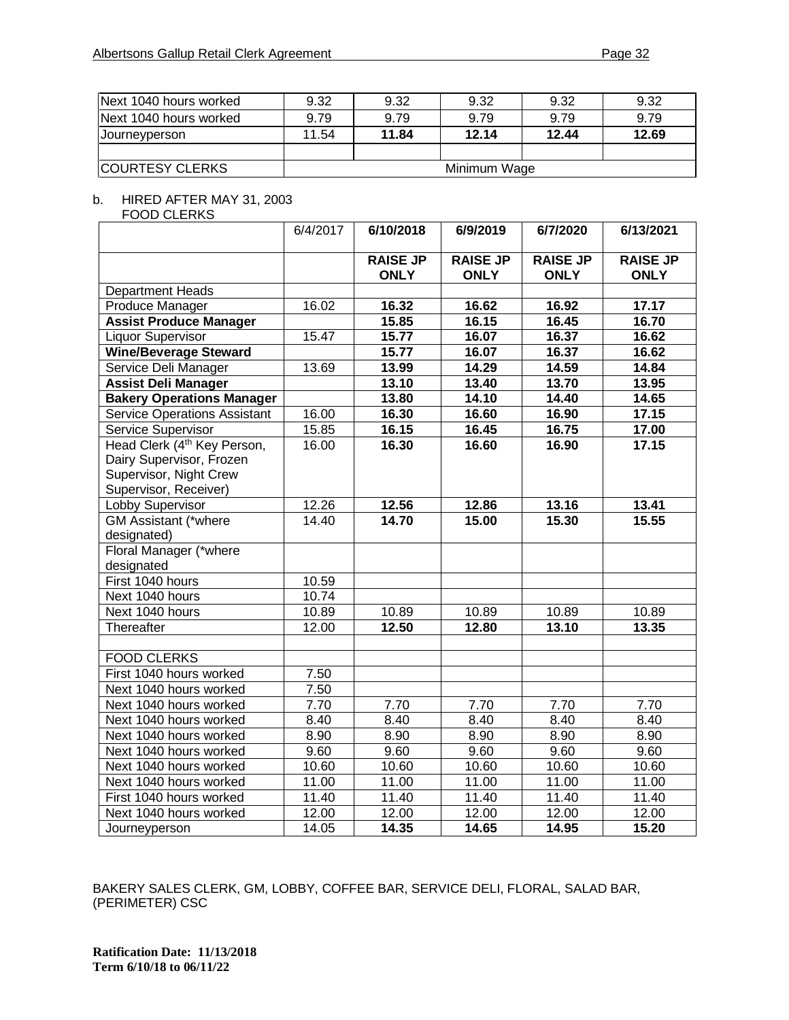| Next 1040 hours worked | 9.32  | 9.32         | 9.32  | 9.32  | 9.32  |
|------------------------|-------|--------------|-------|-------|-------|
| Next 1040 hours worked | 9.79  | 9.79         | 9.79  | 9.79  | 9.79  |
| <b>Journeyperson</b>   | 11.54 | 11.84        | 12.14 | 12.44 | 12.69 |
|                        |       |              |       |       |       |
| <b>COURTESY CLERKS</b> |       | Minimum Wage |       |       |       |

#### b. HIRED AFTER MAY 31, 2003

FOOD CLERKS

|                                         | 6/4/2017 | 6/10/2018       | 6/9/2019        | 6/7/2020        | 6/13/2021       |
|-----------------------------------------|----------|-----------------|-----------------|-----------------|-----------------|
|                                         |          |                 |                 |                 |                 |
|                                         |          | <b>RAISE JP</b> | <b>RAISE JP</b> | <b>RAISE JP</b> | <b>RAISE JP</b> |
|                                         |          | <b>ONLY</b>     | <b>ONLY</b>     | <b>ONLY</b>     | <b>ONLY</b>     |
| <b>Department Heads</b>                 |          |                 |                 |                 |                 |
| Produce Manager                         | 16.02    | 16.32           | 16.62           | 16.92           | 17.17           |
| <b>Assist Produce Manager</b>           |          | 15.85           | 16.15           | 16.45           | 16.70           |
| <b>Liquor Supervisor</b>                | 15.47    | 15.77           | 16.07           | 16.37           | 16.62           |
| <b>Wine/Beverage Steward</b>            |          | 15.77           | 16.07           | 16.37           | 16.62           |
| Service Deli Manager                    | 13.69    | 13.99           | 14.29           | 14.59           | 14.84           |
| <b>Assist Deli Manager</b>              |          | 13.10           | 13.40           | 13.70           | 13.95           |
| <b>Bakery Operations Manager</b>        |          | 13.80           | 14.10           | 14.40           | 14.65           |
| <b>Service Operations Assistant</b>     | 16.00    | 16.30           | 16.60           | 16.90           | 17.15           |
| Service Supervisor                      | 15.85    | 16.15           | 16.45           | 16.75           | 17.00           |
| Head Clerk (4 <sup>th</sup> Key Person, | 16.00    | 16.30           | 16.60           | 16.90           | 17.15           |
| Dairy Supervisor, Frozen                |          |                 |                 |                 |                 |
| Supervisor, Night Crew                  |          |                 |                 |                 |                 |
| Supervisor, Receiver)                   |          |                 |                 |                 |                 |
| Lobby Supervisor                        | 12.26    | 12.56           | 12.86           | 13.16           | 13.41           |
| GM Assistant (*where                    | 14.40    | 14.70           | 15.00           | 15.30           | 15.55           |
| designated)                             |          |                 |                 |                 |                 |
| Floral Manager (*where                  |          |                 |                 |                 |                 |
| designated                              |          |                 |                 |                 |                 |
| First 1040 hours                        | 10.59    |                 |                 |                 |                 |
| Next 1040 hours                         | 10.74    |                 |                 |                 |                 |
| Next 1040 hours                         | 10.89    | 10.89           | 10.89           | 10.89           | 10.89           |
| Thereafter                              | 12.00    | 12.50           | 12.80           | 13.10           | 13.35           |
|                                         |          |                 |                 |                 |                 |
| <b>FOOD CLERKS</b>                      |          |                 |                 |                 |                 |
| First 1040 hours worked                 | 7.50     |                 |                 |                 |                 |
| Next 1040 hours worked                  | 7.50     |                 |                 |                 |                 |
| Next 1040 hours worked                  | 7.70     | 7.70            | 7.70            | 7.70            | 7.70            |
| Next 1040 hours worked                  | 8.40     | 8.40            | 8.40            | 8.40            | 8.40            |
| Next 1040 hours worked                  | 8.90     | 8.90            | 8.90            | 8.90            | 8.90            |
| Next 1040 hours worked                  | 9.60     | 9.60            | 9.60            | 9.60            | 9.60            |
| Next 1040 hours worked                  | 10.60    | 10.60           | 10.60           | 10.60           | 10.60           |
| Next 1040 hours worked                  | 11.00    | 11.00           | 11.00           | 11.00           | 11.00           |
| First 1040 hours worked                 | 11.40    | 11.40           | 11.40           | 11.40           | 11.40           |
| Next 1040 hours worked                  | 12.00    | 12.00           | 12.00           | 12.00           | 12.00           |
| Journeyperson                           | 14.05    | 14.35           | 14.65           | 14.95           | 15.20           |

BAKERY SALES CLERK, GM, LOBBY, COFFEE BAR, SERVICE DELI, FLORAL, SALAD BAR, (PERIMETER) CSC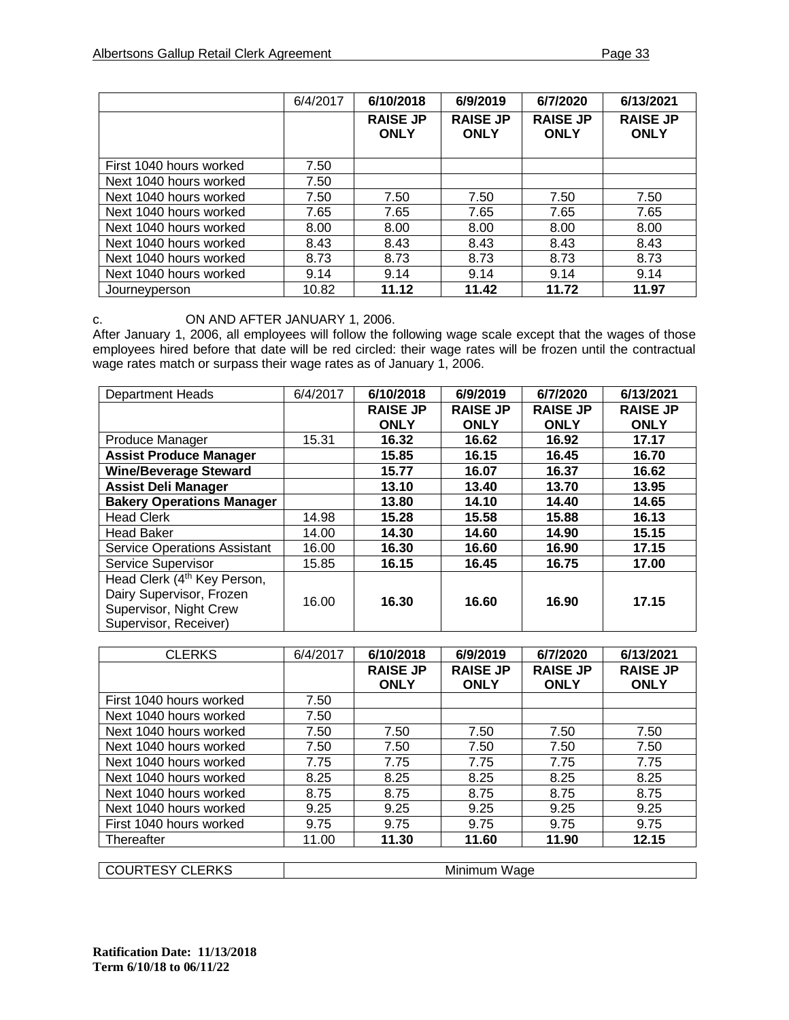|                         | 6/4/2017 | 6/10/2018                      | 6/9/2019                       | 6/7/2020                       | 6/13/2021                      |
|-------------------------|----------|--------------------------------|--------------------------------|--------------------------------|--------------------------------|
|                         |          | <b>RAISE JP</b><br><b>ONLY</b> | <b>RAISE JP</b><br><b>ONLY</b> | <b>RAISE JP</b><br><b>ONLY</b> | <b>RAISE JP</b><br><b>ONLY</b> |
| First 1040 hours worked | 7.50     |                                |                                |                                |                                |
| Next 1040 hours worked  | 7.50     |                                |                                |                                |                                |
| Next 1040 hours worked  | 7.50     | 7.50                           | 7.50                           | 7.50                           | 7.50                           |
| Next 1040 hours worked  | 7.65     | 7.65                           | 7.65                           | 7.65                           | 7.65                           |
| Next 1040 hours worked  | 8.00     | 8.00                           | 8.00                           | 8.00                           | 8.00                           |
| Next 1040 hours worked  | 8.43     | 8.43                           | 8.43                           | 8.43                           | 8.43                           |
| Next 1040 hours worked  | 8.73     | 8.73                           | 8.73                           | 8.73                           | 8.73                           |
| Next 1040 hours worked  | 9.14     | 9.14                           | 9.14                           | 9.14                           | 9.14                           |
| Journeyperson           | 10.82    | 11.12                          | 11.42                          | 11.72                          | 11.97                          |

#### c. ON AND AFTER JANUARY 1, 2006.

After January 1, 2006, all employees will follow the following wage scale except that the wages of those employees hired before that date will be red circled: their wage rates will be frozen until the contractual wage rates match or surpass their wage rates as of January 1, 2006.

| <b>Department Heads</b>                 | 6/4/2017 | 6/10/2018       | 6/9/2019        | 6/7/2020        | 6/13/2021       |
|-----------------------------------------|----------|-----------------|-----------------|-----------------|-----------------|
|                                         |          | <b>RAISE JP</b> | <b>RAISE JP</b> | <b>RAISE JP</b> | <b>RAISE JP</b> |
|                                         |          | <b>ONLY</b>     | <b>ONLY</b>     | <b>ONLY</b>     | <b>ONLY</b>     |
| Produce Manager                         | 15.31    | 16.32           | 16.62           | 16.92           | 17.17           |
| <b>Assist Produce Manager</b>           |          | 15.85           | 16.15           | 16.45           | 16.70           |
| <b>Wine/Beverage Steward</b>            |          | 15.77           | 16.07           | 16.37           | 16.62           |
| <b>Assist Deli Manager</b>              |          | 13.10           | 13.40           | 13.70           | 13.95           |
| <b>Bakery Operations Manager</b>        |          | 13.80           | 14.10           | 14.40           | 14.65           |
| <b>Head Clerk</b>                       | 14.98    | 15.28           | 15.58           | 15.88           | 16.13           |
| <b>Head Baker</b>                       | 14.00    | 14.30           | 14.60           | 14.90           | 15.15           |
| <b>Service Operations Assistant</b>     | 16.00    | 16.30           | 16.60           | 16.90           | 17.15           |
| Service Supervisor                      | 15.85    | 16.15           | 16.45           | 16.75           | 17.00           |
| Head Clerk (4 <sup>th</sup> Key Person, |          |                 |                 |                 |                 |
| Dairy Supervisor, Frozen                | 16.00    | 16.30           | 16.60           | 16.90           | 17.15           |
| Supervisor, Night Crew                  |          |                 |                 |                 |                 |
| Supervisor, Receiver)                   |          |                 |                 |                 |                 |

| <b>CLERKS</b>           | 6/4/2017 | 6/10/2018       | 6/9/2019        | 6/7/2020        | 6/13/2021       |
|-------------------------|----------|-----------------|-----------------|-----------------|-----------------|
|                         |          | <b>RAISE JP</b> | <b>RAISE JP</b> | <b>RAISE JP</b> | <b>RAISE JP</b> |
|                         |          | <b>ONLY</b>     | <b>ONLY</b>     | <b>ONLY</b>     | <b>ONLY</b>     |
| First 1040 hours worked | 7.50     |                 |                 |                 |                 |
| Next 1040 hours worked  | 7.50     |                 |                 |                 |                 |
| Next 1040 hours worked  | 7.50     | 7.50            | 7.50            | 7.50            | 7.50            |
| Next 1040 hours worked  | 7.50     | 7.50            | 7.50            | 7.50            | 7.50            |
| Next 1040 hours worked  | 7.75     | 7.75            | 7.75            | 7.75            | 7.75            |
| Next 1040 hours worked  | 8.25     | 8.25            | 8.25            | 8.25            | 8.25            |
| Next 1040 hours worked  | 8.75     | 8.75            | 8.75            | 8.75            | 8.75            |
| Next 1040 hours worked  | 9.25     | 9.25            | 9.25            | 9.25            | 9.25            |
| First 1040 hours worked | 9.75     | 9.75            | 9.75            | 9.75            | 9.75            |
| Thereafter              | 11.00    | 11.30           | 11.60           | 11.90           | 12.15           |
|                         |          |                 |                 |                 |                 |

| <b>COURTESY CLERKS</b> | Minimum<br>Wage |
|------------------------|-----------------|
|                        |                 |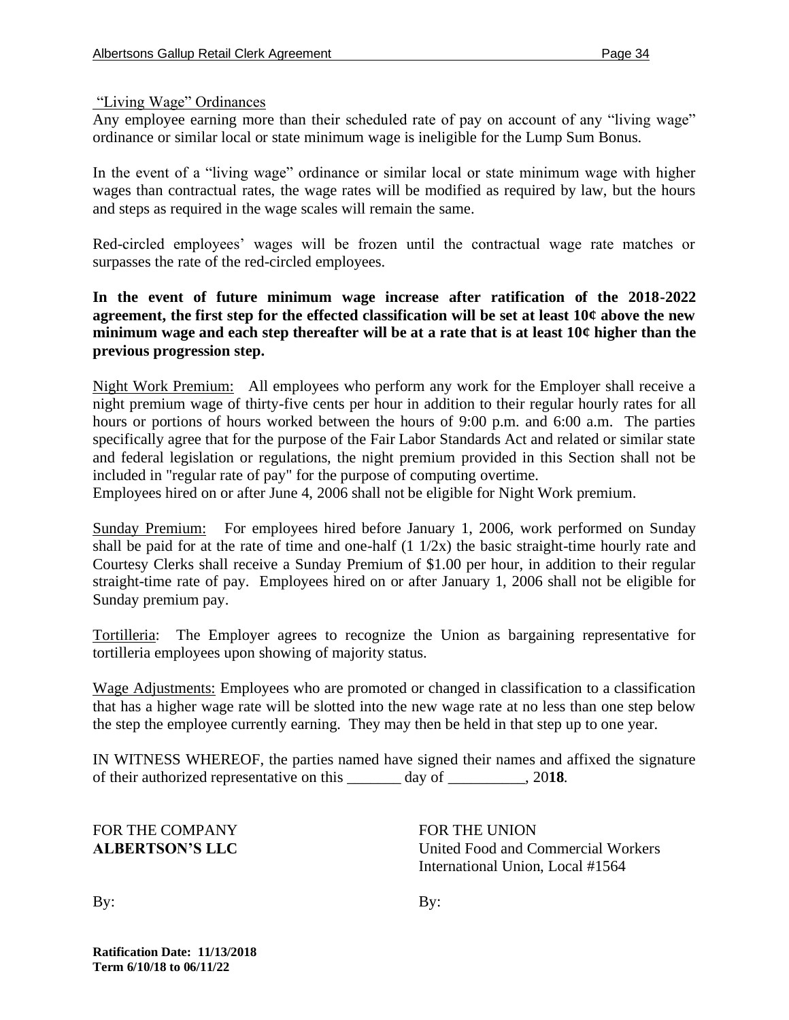#### "Living Wage" Ordinances

Any employee earning more than their scheduled rate of pay on account of any "living wage" ordinance or similar local or state minimum wage is ineligible for the Lump Sum Bonus.

In the event of a "living wage" ordinance or similar local or state minimum wage with higher wages than contractual rates, the wage rates will be modified as required by law, but the hours and steps as required in the wage scales will remain the same.

Red-circled employees' wages will be frozen until the contractual wage rate matches or surpasses the rate of the red-circled employees.

**In the event of future minimum wage increase after ratification of the 2018-2022 agreement, the first step for the effected classification will be set at least 10¢ above the new minimum wage and each step thereafter will be at a rate that is at least 10¢ higher than the previous progression step.**

Night Work Premium: All employees who perform any work for the Employer shall receive a night premium wage of thirty-five cents per hour in addition to their regular hourly rates for all hours or portions of hours worked between the hours of 9:00 p.m. and 6:00 a.m. The parties specifically agree that for the purpose of the Fair Labor Standards Act and related or similar state and federal legislation or regulations, the night premium provided in this Section shall not be included in "regular rate of pay" for the purpose of computing overtime.

Employees hired on or after June 4, 2006 shall not be eligible for Night Work premium.

Sunday Premium: For employees hired before January 1, 2006, work performed on Sunday shall be paid for at the rate of time and one-half  $(1 \frac{1}{2x})$  the basic straight-time hourly rate and Courtesy Clerks shall receive a Sunday Premium of \$1.00 per hour, in addition to their regular straight-time rate of pay. Employees hired on or after January 1, 2006 shall not be eligible for Sunday premium pay.

Tortilleria: The Employer agrees to recognize the Union as bargaining representative for tortilleria employees upon showing of majority status.

Wage Adjustments: Employees who are promoted or changed in classification to a classification that has a higher wage rate will be slotted into the new wage rate at no less than one step below the step the employee currently earning. They may then be held in that step up to one year.

IN WITNESS WHEREOF, the parties named have signed their names and affixed the signature of their authorized representative on this \_\_\_\_\_\_\_ day of \_\_\_\_\_\_\_\_\_\_, 20**18**.

FOR THE COMPANY FOR THE UNION

**ALBERTSON'S LLC** United Food and Commercial Workers International Union, Local #1564

By: By:

**Ratification Date: 11/13/2018 Term 6/10/18 to 06/11/22**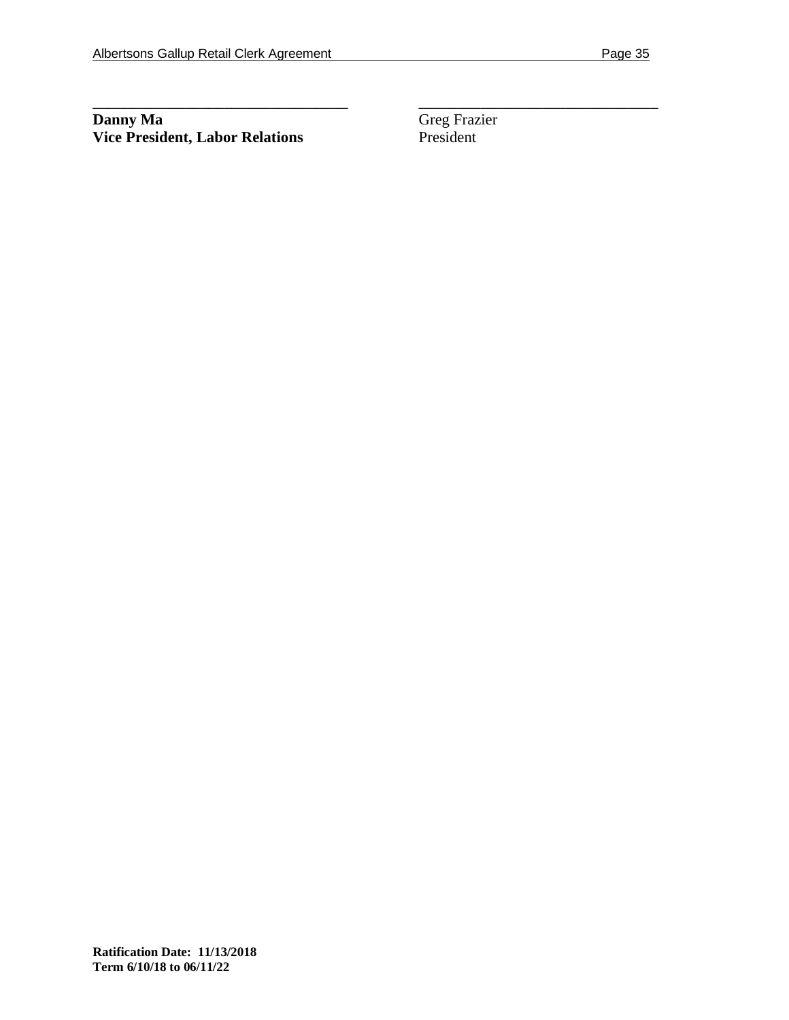\_\_\_\_\_\_\_\_\_\_\_\_\_\_\_\_\_\_\_\_\_\_\_\_\_\_\_\_\_\_\_\_\_

**Danny Ma Vice President, Labor Relations** Greg Frazier President

\_\_\_\_\_\_\_\_\_\_\_\_\_\_\_\_\_\_\_\_\_\_\_\_\_\_\_\_\_\_\_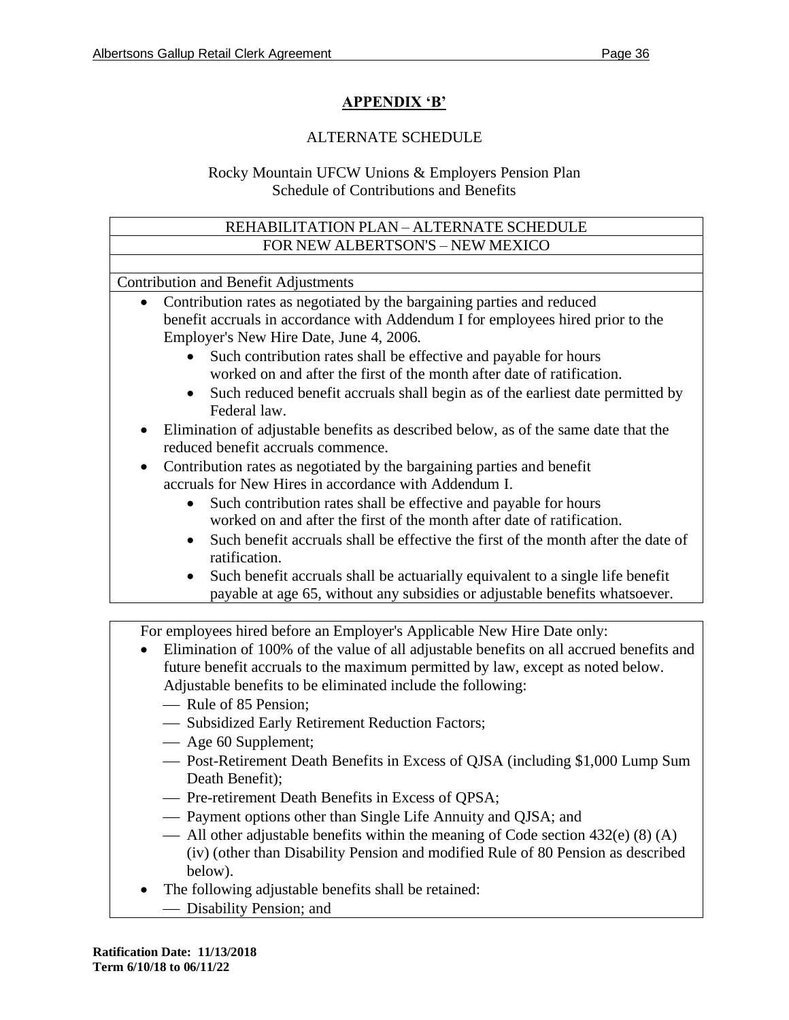# **APPENDIX 'B'**

## ALTERNATE SCHEDULE

## Rocky Mountain UFCW Unions & Employers Pension Plan Schedule of Contributions and Benefits

<span id="page-36-0"></span>

| REHABILITATION PLAN - ALTERNATE SCHEDULE                                                                                   |  |  |  |  |
|----------------------------------------------------------------------------------------------------------------------------|--|--|--|--|
| FOR NEW ALBERTSON'S - NEW MEXICO                                                                                           |  |  |  |  |
|                                                                                                                            |  |  |  |  |
| <b>Contribution and Benefit Adjustments</b>                                                                                |  |  |  |  |
| Contribution rates as negotiated by the bargaining parties and reduced                                                     |  |  |  |  |
| benefit accruals in accordance with Addendum I for employees hired prior to the<br>Employer's New Hire Date, June 4, 2006. |  |  |  |  |
| Such contribution rates shall be effective and payable for hours                                                           |  |  |  |  |
| worked on and after the first of the month after date of ratification.                                                     |  |  |  |  |
| Such reduced benefit accruals shall begin as of the earliest date permitted by<br>Federal law.                             |  |  |  |  |
| Elimination of adjustable benefits as described below, as of the same date that the<br>$\bullet$                           |  |  |  |  |
| reduced benefit accruals commence.                                                                                         |  |  |  |  |
| Contribution rates as negotiated by the bargaining parties and benefit                                                     |  |  |  |  |
| accruals for New Hires in accordance with Addendum I.                                                                      |  |  |  |  |
| Such contribution rates shall be effective and payable for hours                                                           |  |  |  |  |
| worked on and after the first of the month after date of ratification.                                                     |  |  |  |  |
| Such benefit accruals shall be effective the first of the month after the date of<br>$\bullet$<br>ratification.            |  |  |  |  |
| Such benefit accruals shall be actuarially equivalent to a single life benefit<br>$\bullet$                                |  |  |  |  |
| payable at age 65, without any subsidies or adjustable benefits whatsoever.                                                |  |  |  |  |
|                                                                                                                            |  |  |  |  |
| For employees hired before an Employer's Applicable New Hire Date only:                                                    |  |  |  |  |
| Elimination of 100% of the value of all adjustable benefits on all accrued benefits and                                    |  |  |  |  |
| future benefit accruals to the maximum permitted by law, except as noted below.                                            |  |  |  |  |
| Adjustable benefits to be eliminated include the following:                                                                |  |  |  |  |
| - Rule of 85 Pension;                                                                                                      |  |  |  |  |
| - Subsidized Early Retirement Reduction Factors;                                                                           |  |  |  |  |
| - Age 60 Supplement;                                                                                                       |  |  |  |  |
| — Post-Retirement Death Benefits in Excess of QJSA (including \$1,000 Lump Sum<br>Death Benefit);                          |  |  |  |  |
| - Pre-retirement Death Benefits in Excess of QPSA;                                                                         |  |  |  |  |

- Payment options other than Single Life Annuity and QJSA; and
- $-$  All other adjustable benefits within the meaning of Code section 432(e) (8) (A) (iv) (other than Disability Pension and modified Rule of 80 Pension as described below).
- The following adjustable benefits shall be retained:
	- Disability Pension; and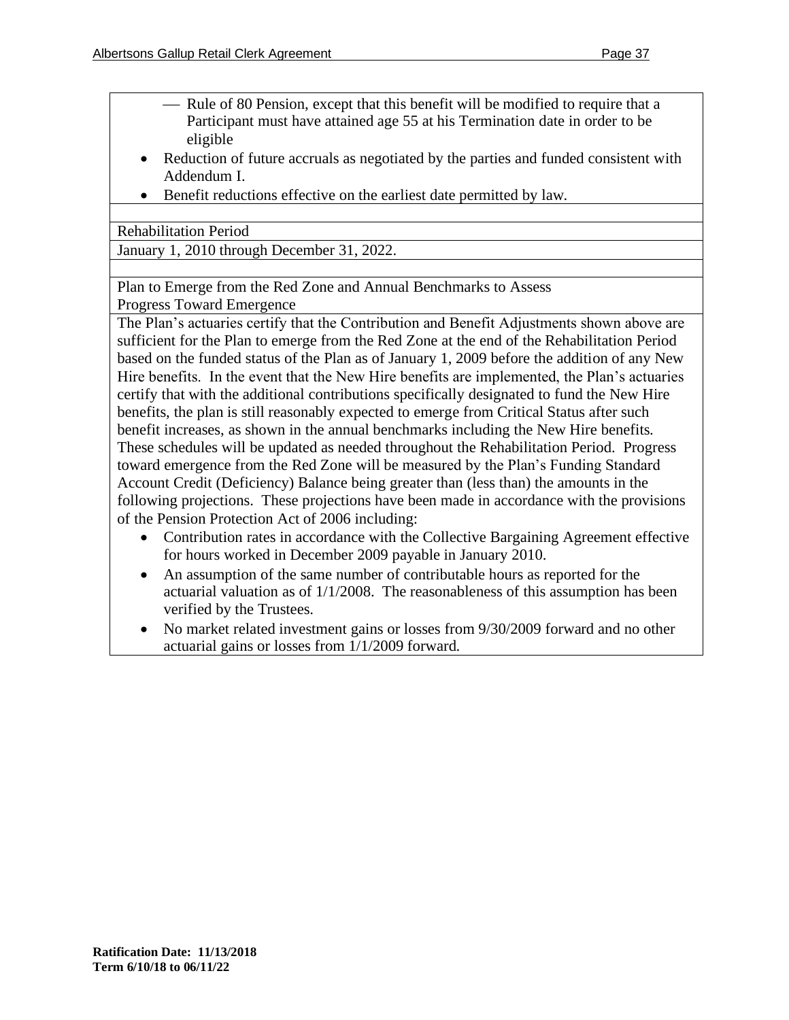- Rule of 80 Pension, except that this benefit will be modified to require that a Participant must have attained age 55 at his Termination date in order to be eligible
- Reduction of future accruals as negotiated by the parties and funded consistent with Addendum I.
- Benefit reductions effective on the earliest date permitted by law.

#### Rehabilitation Period

January 1, 2010 through December 31, 2022.

Plan to Emerge from the Red Zone and Annual Benchmarks to Assess Progress Toward Emergence

The Plan's actuaries certify that the Contribution and Benefit Adjustments shown above are sufficient for the Plan to emerge from the Red Zone at the end of the Rehabilitation Period based on the funded status of the Plan as of January 1, 2009 before the addition of any New Hire benefits. In the event that the New Hire benefits are implemented, the Plan's actuaries certify that with the additional contributions specifically designated to fund the New Hire benefits, the plan is still reasonably expected to emerge from Critical Status after such benefit increases, as shown in the annual benchmarks including the New Hire benefits. These schedules will be updated as needed throughout the Rehabilitation Period. Progress toward emergence from the Red Zone will be measured by the Plan's Funding Standard Account Credit (Deficiency) Balance being greater than (less than) the amounts in the following projections. These projections have been made in accordance with the provisions of the Pension Protection Act of 2006 including:

- Contribution rates in accordance with the Collective Bargaining Agreement effective for hours worked in December 2009 payable in January 2010.
- An assumption of the same number of contributable hours as reported for the actuarial valuation as of 1/1/2008. The reasonableness of this assumption has been verified by the Trustees.
- No market related investment gains or losses from 9/30/2009 forward and no other actuarial gains or losses from 1/1/2009 forward.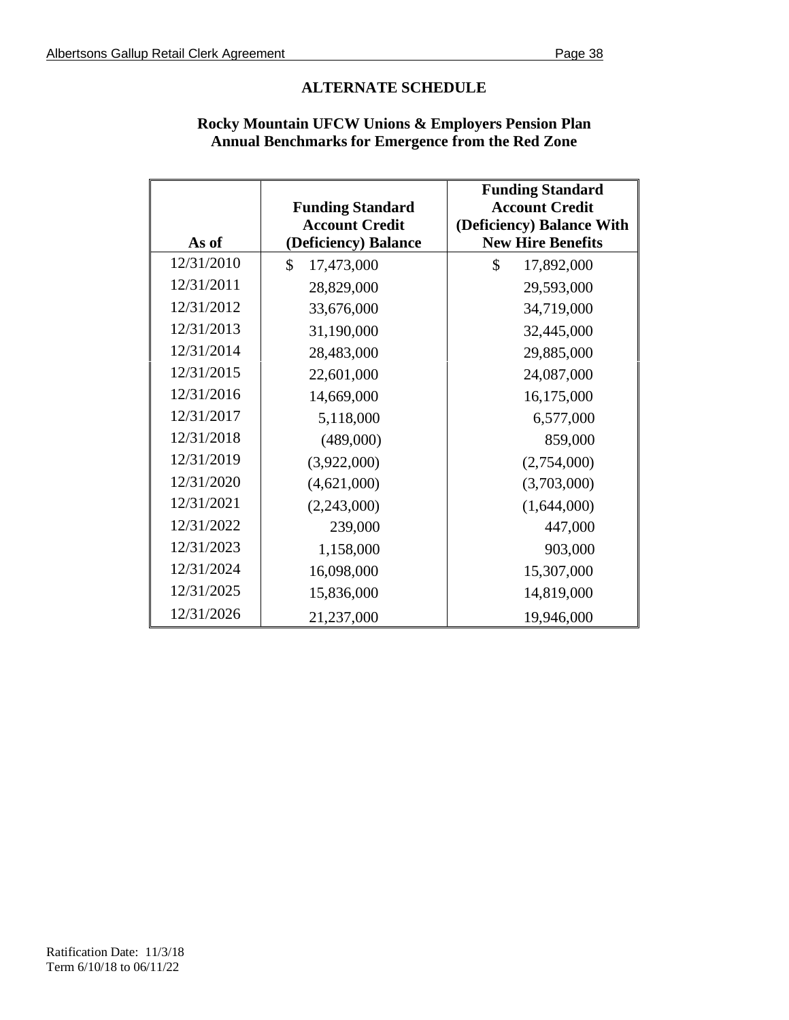## **ALTERNATE SCHEDULE**

| As of      | <b>Funding Standard</b><br><b>Account Credit</b><br>(Deficiency) Balance | <b>Funding Standard</b><br><b>Account Credit</b><br>(Deficiency) Balance With<br><b>New Hire Benefits</b> |
|------------|--------------------------------------------------------------------------|-----------------------------------------------------------------------------------------------------------|
| 12/31/2010 | \$<br>17,473,000                                                         | \$<br>17,892,000                                                                                          |
| 12/31/2011 | 28,829,000                                                               | 29,593,000                                                                                                |
| 12/31/2012 | 33,676,000                                                               | 34,719,000                                                                                                |
| 12/31/2013 | 31,190,000                                                               | 32,445,000                                                                                                |
| 12/31/2014 | 28,483,000                                                               | 29,885,000                                                                                                |
| 12/31/2015 | 22,601,000                                                               | 24,087,000                                                                                                |
| 12/31/2016 | 14,669,000                                                               | 16,175,000                                                                                                |
| 12/31/2017 | 5,118,000                                                                | 6,577,000                                                                                                 |
| 12/31/2018 | (489,000)                                                                | 859,000                                                                                                   |
| 12/31/2019 | (3,922,000)                                                              | (2,754,000)                                                                                               |
| 12/31/2020 | (4,621,000)                                                              | (3,703,000)                                                                                               |
| 12/31/2021 | (2,243,000)                                                              | (1,644,000)                                                                                               |
| 12/31/2022 | 239,000                                                                  | 447,000                                                                                                   |
| 12/31/2023 | 1,158,000                                                                | 903,000                                                                                                   |
| 12/31/2024 | 16,098,000                                                               | 15,307,000                                                                                                |
| 12/31/2025 | 15,836,000                                                               | 14,819,000                                                                                                |
| 12/31/2026 | 21,237,000                                                               | 19,946,000                                                                                                |

# **Rocky Mountain UFCW Unions & Employers Pension Plan Annual Benchmarks for Emergence from the Red Zone**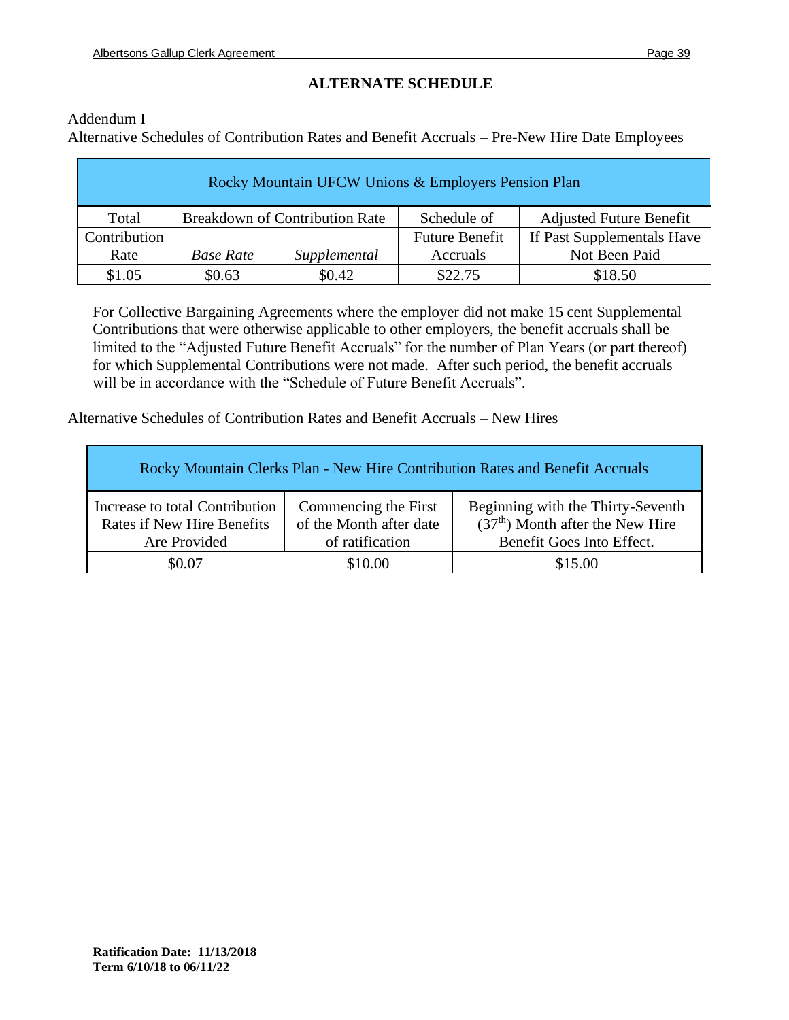# **ALTERNATE SCHEDULE**

## Addendum I Alternative Schedules of Contribution Rates and Benefit Accruals – Pre-New Hire Date Employees

| Rocky Mountain UFCW Unions & Employers Pension Plan |                  |                                       |                       |                                |  |
|-----------------------------------------------------|------------------|---------------------------------------|-----------------------|--------------------------------|--|
| Total                                               |                  | <b>Breakdown of Contribution Rate</b> | Schedule of           | <b>Adjusted Future Benefit</b> |  |
| Contribution                                        |                  |                                       | <b>Future Benefit</b> | If Past Supplementals Have     |  |
| Rate                                                | <b>Base Rate</b> | Supplemental                          | Accruals              | Not Been Paid                  |  |
| \$1.05                                              | \$0.63           | \$0.42                                | \$22.75               | \$18.50                        |  |

For Collective Bargaining Agreements where the employer did not make 15 cent Supplemental Contributions that were otherwise applicable to other employers, the benefit accruals shall be limited to the "Adjusted Future Benefit Accruals" for the number of Plan Years (or part thereof) for which Supplemental Contributions were not made. After such period, the benefit accruals will be in accordance with the "Schedule of Future Benefit Accruals".

Alternative Schedules of Contribution Rates and Benefit Accruals – New Hires

| Rocky Mountain Clerks Plan - New Hire Contribution Rates and Benefit Accruals |                                                                    |                                                                                                     |  |  |  |
|-------------------------------------------------------------------------------|--------------------------------------------------------------------|-----------------------------------------------------------------------------------------------------|--|--|--|
| Increase to total Contribution<br>Rates if New Hire Benefits<br>Are Provided  | Commencing the First<br>of the Month after date<br>of ratification | Beginning with the Thirty-Seventh<br>$(37th)$ Month after the New Hire<br>Benefit Goes Into Effect. |  |  |  |
| \$0.07                                                                        | \$10.00                                                            | \$15.00                                                                                             |  |  |  |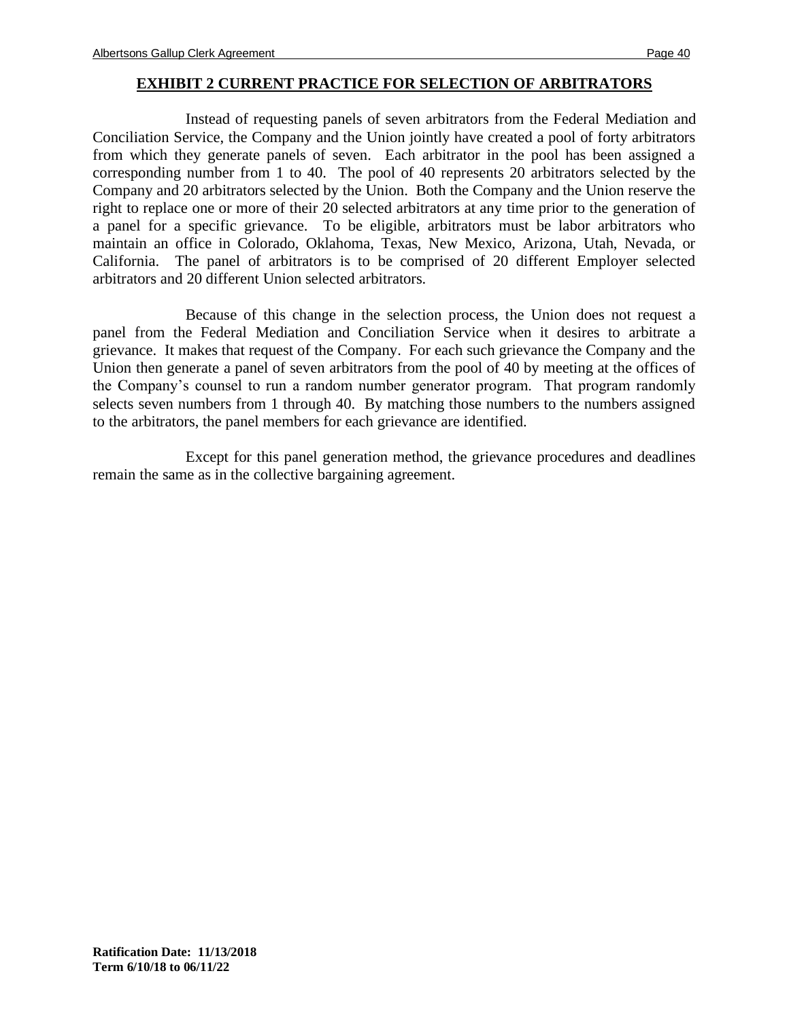## **EXHIBIT 2 CURRENT PRACTICE FOR SELECTION OF ARBITRATORS**

<span id="page-40-0"></span>Instead of requesting panels of seven arbitrators from the Federal Mediation and Conciliation Service, the Company and the Union jointly have created a pool of forty arbitrators from which they generate panels of seven. Each arbitrator in the pool has been assigned a corresponding number from 1 to 40. The pool of 40 represents 20 arbitrators selected by the Company and 20 arbitrators selected by the Union. Both the Company and the Union reserve the right to replace one or more of their 20 selected arbitrators at any time prior to the generation of a panel for a specific grievance. To be eligible, arbitrators must be labor arbitrators who maintain an office in Colorado, Oklahoma, Texas, New Mexico, Arizona, Utah, Nevada, or California. The panel of arbitrators is to be comprised of 20 different Employer selected arbitrators and 20 different Union selected arbitrators.

Because of this change in the selection process, the Union does not request a panel from the Federal Mediation and Conciliation Service when it desires to arbitrate a grievance. It makes that request of the Company. For each such grievance the Company and the Union then generate a panel of seven arbitrators from the pool of 40 by meeting at the offices of the Company's counsel to run a random number generator program. That program randomly selects seven numbers from 1 through 40. By matching those numbers to the numbers assigned to the arbitrators, the panel members for each grievance are identified.

Except for this panel generation method, the grievance procedures and deadlines remain the same as in the collective bargaining agreement.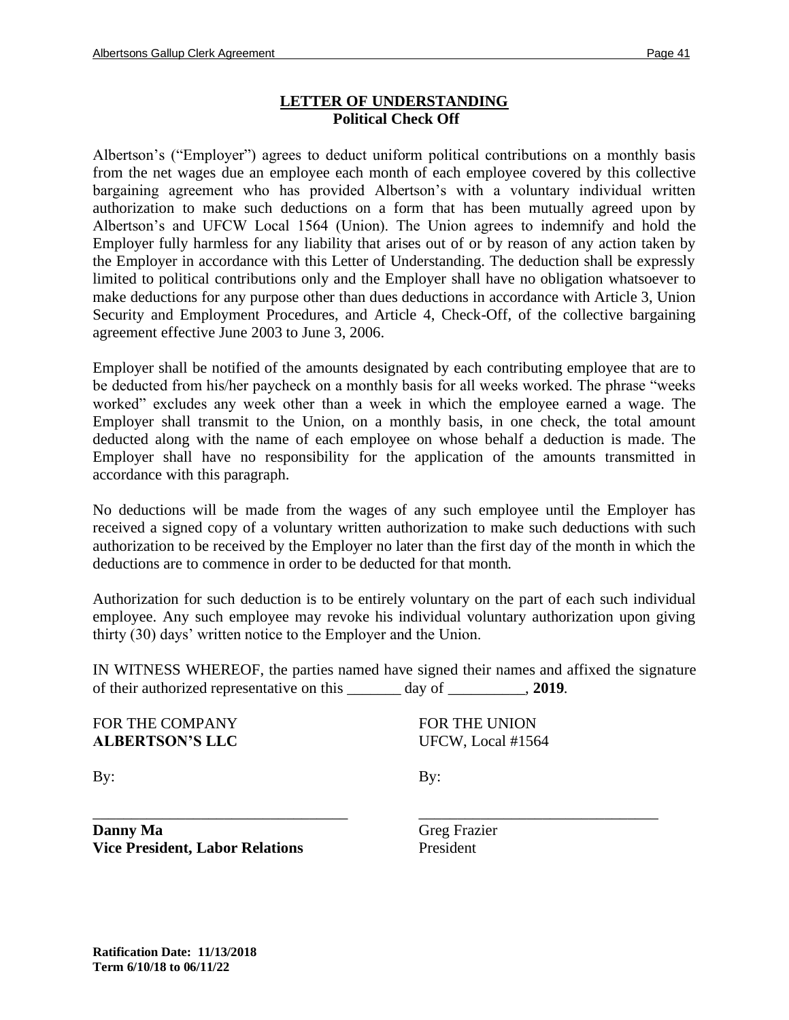## <span id="page-41-1"></span>**LETTER OF UNDERSTANDING Political Check Off**

<span id="page-41-0"></span>Albertson's ("Employer") agrees to deduct uniform political contributions on a monthly basis from the net wages due an employee each month of each employee covered by this collective bargaining agreement who has provided Albertson's with a voluntary individual written authorization to make such deductions on a form that has been mutually agreed upon by Albertson's and UFCW Local 1564 (Union). The Union agrees to indemnify and hold the Employer fully harmless for any liability that arises out of or by reason of any action taken by the Employer in accordance with this Letter of Understanding. The deduction shall be expressly limited to political contributions only and the Employer shall have no obligation whatsoever to make deductions for any purpose other than dues deductions in accordance with Article 3, Union Security and Employment Procedures, and Article 4, Check-Off, of the collective bargaining agreement effective June 2003 to June 3, 2006.

Employer shall be notified of the amounts designated by each contributing employee that are to be deducted from his/her paycheck on a monthly basis for all weeks worked. The phrase "weeks worked" excludes any week other than a week in which the employee earned a wage. The Employer shall transmit to the Union, on a monthly basis, in one check, the total amount deducted along with the name of each employee on whose behalf a deduction is made. The Employer shall have no responsibility for the application of the amounts transmitted in accordance with this paragraph.

No deductions will be made from the wages of any such employee until the Employer has received a signed copy of a voluntary written authorization to make such deductions with such authorization to be received by the Employer no later than the first day of the month in which the deductions are to commence in order to be deducted for that month.

Authorization for such deduction is to be entirely voluntary on the part of each such individual employee. Any such employee may revoke his individual voluntary authorization upon giving thirty (30) days' written notice to the Employer and the Union.

IN WITNESS WHEREOF, the parties named have signed their names and affixed the signature of their authorized representative on this \_\_\_\_\_\_\_ day of \_\_\_\_\_\_\_\_\_\_, **2019**.

#### FOR THE COMPANY FOR THE UNION **ALBERTSON'S LLC** UFCW, Local #1564

\_\_\_\_\_\_\_\_\_\_\_\_\_\_\_\_\_\_\_\_\_\_\_\_\_\_\_\_\_\_\_

By:

By:

**Danny Ma Vice President, Labor Relations** 

\_\_\_\_\_\_\_\_\_\_\_\_\_\_\_\_\_\_\_\_\_\_\_\_\_\_\_\_\_\_\_\_\_

Greg Frazier President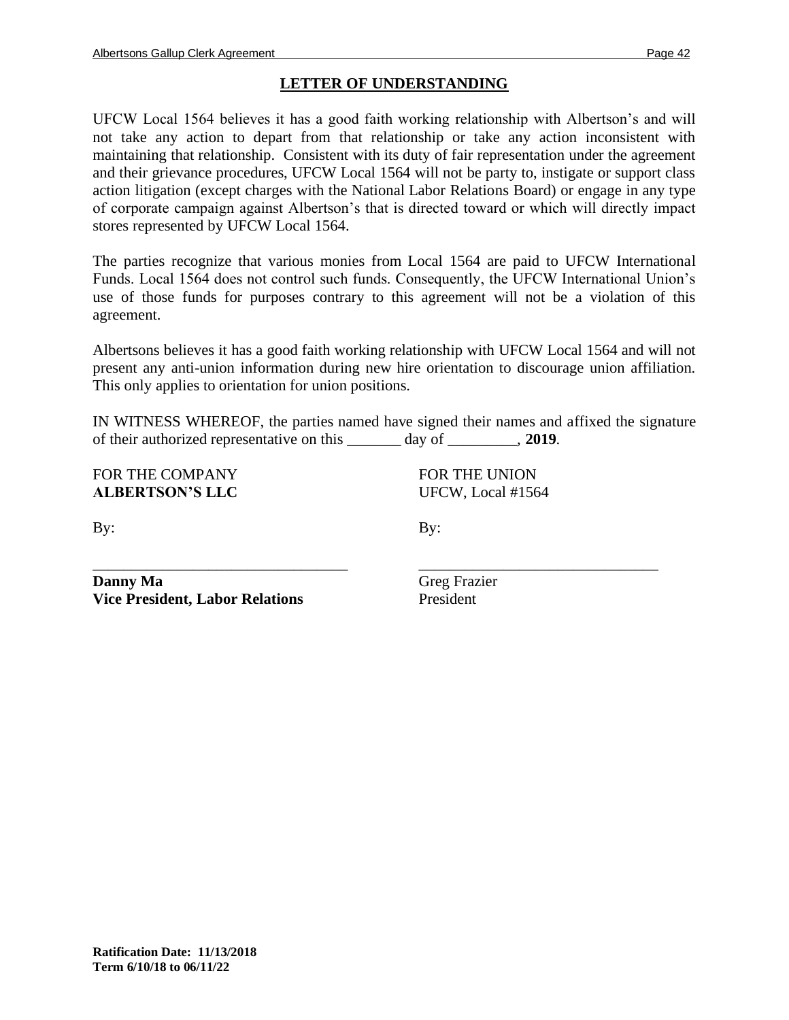## **LETTER OF UNDERSTANDING**

<span id="page-42-0"></span>UFCW Local 1564 believes it has a good faith working relationship with Albertson's and will not take any action to depart from that relationship or take any action inconsistent with maintaining that relationship. Consistent with its duty of fair representation under the agreement and their grievance procedures, UFCW Local 1564 will not be party to, instigate or support class action litigation (except charges with the National Labor Relations Board) or engage in any type of corporate campaign against Albertson's that is directed toward or which will directly impact stores represented by UFCW Local 1564.

The parties recognize that various monies from Local 1564 are paid to UFCW International Funds. Local 1564 does not control such funds. Consequently, the UFCW International Union's use of those funds for purposes contrary to this agreement will not be a violation of this agreement.

Albertsons believes it has a good faith working relationship with UFCW Local 1564 and will not present any anti-union information during new hire orientation to discourage union affiliation. This only applies to orientation for union positions.

IN WITNESS WHEREOF, the parties named have signed their names and affixed the signature of their authorized representative on this \_\_\_\_\_\_\_ day of \_\_\_\_\_\_\_\_\_, **2019**.

FOR THE COMPANY FOR THE UNION **ALBERTSON'S LLC** UFCW, Local #1564

\_\_\_\_\_\_\_\_\_\_\_\_\_\_\_\_\_\_\_\_\_\_\_\_\_\_\_\_\_\_\_

By:

By:

**Danny Ma Vice President, Labor Relations** 

\_\_\_\_\_\_\_\_\_\_\_\_\_\_\_\_\_\_\_\_\_\_\_\_\_\_\_\_\_\_\_\_\_

Greg Frazier President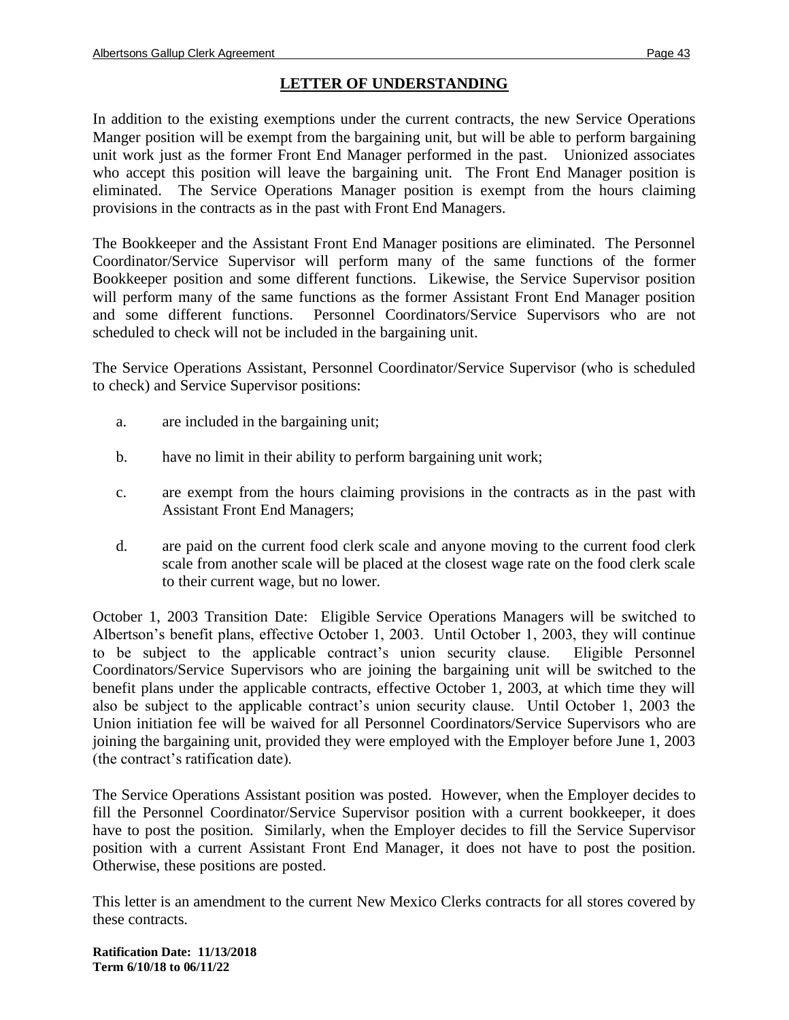## **LETTER OF UNDERSTANDING**

<span id="page-43-0"></span>In addition to the existing exemptions under the current contracts, the new Service Operations Manger position will be exempt from the bargaining unit, but will be able to perform bargaining unit work just as the former Front End Manager performed in the past. Unionized associates who accept this position will leave the bargaining unit. The Front End Manager position is eliminated. The Service Operations Manager position is exempt from the hours claiming provisions in the contracts as in the past with Front End Managers.

The Bookkeeper and the Assistant Front End Manager positions are eliminated. The Personnel Coordinator/Service Supervisor will perform many of the same functions of the former Bookkeeper position and some different functions. Likewise, the Service Supervisor position will perform many of the same functions as the former Assistant Front End Manager position and some different functions. Personnel Coordinators/Service Supervisors who are not scheduled to check will not be included in the bargaining unit.

The Service Operations Assistant, Personnel Coordinator/Service Supervisor (who is scheduled to check) and Service Supervisor positions:

- a. are included in the bargaining unit;
- b. have no limit in their ability to perform bargaining unit work;
- c. are exempt from the hours claiming provisions in the contracts as in the past with Assistant Front End Managers;
- d. are paid on the current food clerk scale and anyone moving to the current food clerk scale from another scale will be placed at the closest wage rate on the food clerk scale to their current wage, but no lower.

October 1, 2003 Transition Date: Eligible Service Operations Managers will be switched to Albertson's benefit plans, effective October 1, 2003. Until October 1, 2003, they will continue to be subject to the applicable contract's union security clause. Eligible Personnel Coordinators/Service Supervisors who are joining the bargaining unit will be switched to the benefit plans under the applicable contracts, effective October 1, 2003, at which time they will also be subject to the applicable contract's union security clause. Until October 1, 2003 the Union initiation fee will be waived for all Personnel Coordinators/Service Supervisors who are joining the bargaining unit, provided they were employed with the Employer before June 1, 2003 (the contract's ratification date).

The Service Operations Assistant position was posted. However, when the Employer decides to fill the Personnel Coordinator/Service Supervisor position with a current bookkeeper, it does have to post the position. Similarly, when the Employer decides to fill the Service Supervisor position with a current Assistant Front End Manager, it does not have to post the position. Otherwise, these positions are posted.

This letter is an amendment to the current New Mexico Clerks contracts for all stores covered by these contracts.